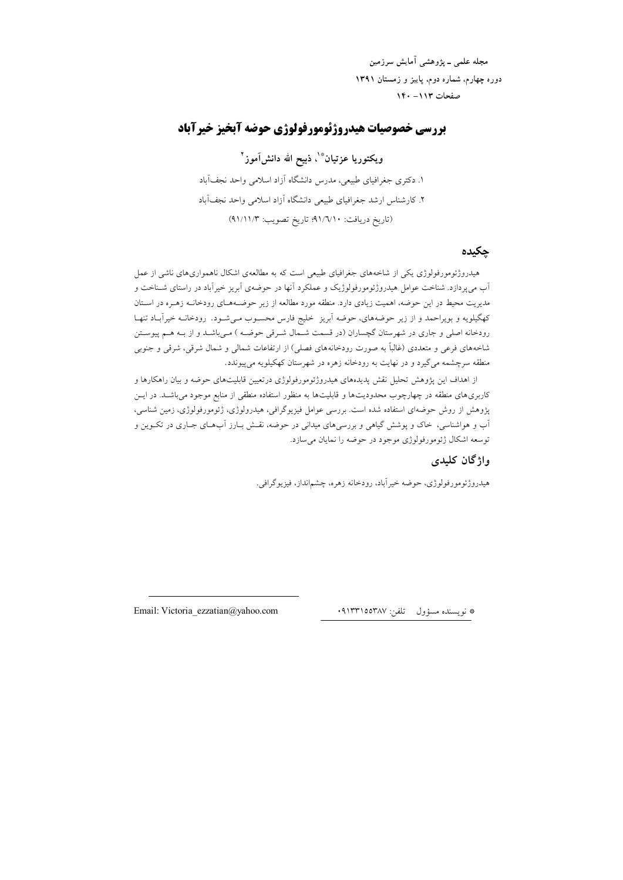مجله علمی ــ يژوهشي آمايش سرزمين دوره چهارم، شماره دوم، پاییز و زمستان ۱۳۹۱ صفحات ١١٣ - ١٤٠

## بررسي خصوصيات هيدروژئومورفولوژي حوضه آبخيز خيرآباد

ويكتوريا عزتيان<sup>ڤ</sup>ْ'، ذبيح الله دانشآموز<sup>'</sup>' ۱. دکتری جغرافیای طبیعی، مدرس دانشگاه آزاد اسلامی واحد نجفآباد ۲. کارشناس ارشد جغرافیای طبیعی دانشگاه آزاد اسلامی واحد نجفآباد (تاريخ دريافت: ٩١/٦/١٠؛ تاريخ تصويب: ٩١/١١/٣)

#### حكىدە

هیدروژئومورفولوژی یکی از شاخههای جغرافیای طبیعی است که به مطالعهی اشکال ناهمواریهای ناشی از عمل اَب می,پردازد. شناخت عوامل هیدروژئومورفولوژیک و عملکرد اَنها در حوضهی اَبریز خیراَباد در راستای شـناخت و مدیریت محیط در این حوضه، اهمیت زیادی دارد. منطقه مورد مطالعه از زیر حوضـههـای رودخانــه زهـره در اسـتان کهگیلویه و بویراحمد و از زیر حوضههای، حوضه آبریز خلیج فارس محسـوب مـیشـود. رودخانــه خیراَبــاد تنهـا رودخانه اصلی و جاری در شهرستان گچساران (در قسمت شـمال شـرقی حوضـه ) مـیباشـد و از بـه هـم پیوسـتن شاخههای فرعی و متعددی (غالباً به صورت رودخانههای فصلی) از ارتفاعات شمالی و شمال شرقی، شرقی و جنوبی منطقه سرچشمه می گیرد و در نهایت به رودخانه زهره در شهرستان کهکیلویه می پیوندد.

از اهداف این پژوهش تحلیل نقش پدیدههای هیدروژئومورفولوژی درتعیین قابلیتهای حوضه و بیان راهکارها و .<br>کاربریهای منطقه در چهارچوب محدودیتها و قابلیتها به منظور استفاده منطقی از منابع موجود می باشــد. در ایــن پژوهش از روش حوضهای استفاده شده است. بررسی عوامل فیزیوگرافی، هیدرولوژی، ژئومورفولوژی، زمین شناسی، اَب و هواشناسی، خاک و یوشش گیاهی و بررسی،های میدانی در حوضه، نقـش بـارز اَبـهـای جــاری در تکــوین و توسعه اشکال ژئومورفولوژی موجود در حوضه را نمایان می سازد.

#### واژگان كليدي

هیدروژئومورفولوژی، حوضه خیرآباد، رودخانه زهره، چشم|نداز، فیزیوگرافی.

\* نويسنده مسؤول تلفن: ٩١٣٣١٥٥٣٨٧.

Email: Victoria ezzatian@yahoo.com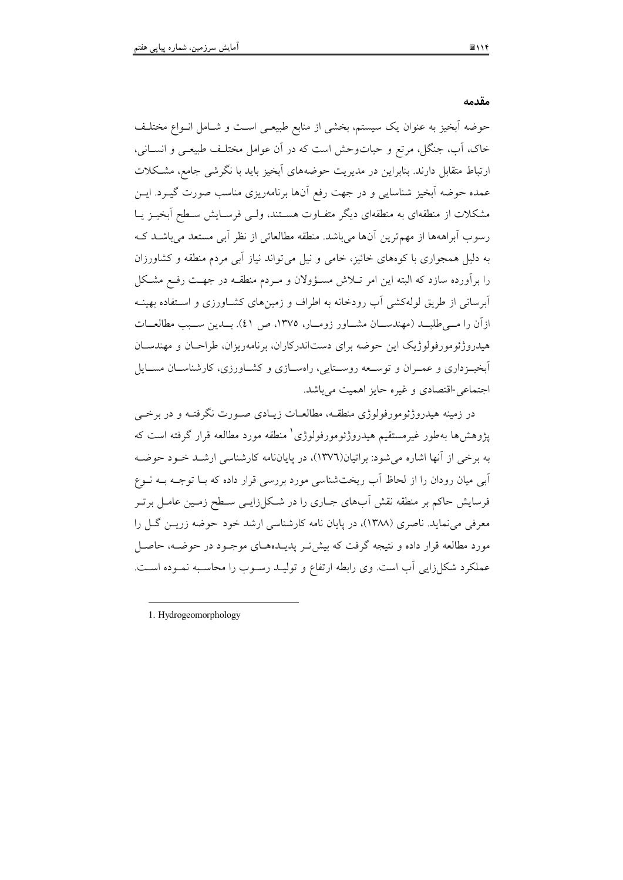مقدمه

حوضه أيخبز به عنوان يك سيسته، يخشي إز منابع طبيعي است و شيامل إنبواع مختليف .<br>خاک، آب، جنگل، مرتع و حیاتوحش است که در آن عوامل مختلبف طبیعی و انسیانی، رتباط متقابل دارند. بنابراین در مدیریت جوضههای آیخیز باید با نگرشی جامع، مشبکلات  $\overline{a}$ عمده جوضه أیخیز شناسایه و در جهت رفع آنها برنامهربزی مناسب صورت گپ در اب<sup>.</sup> مشکلات از منطقهای به منطقهای دیگر متفیاوت هستند، ولی فرسیایش سیطح آیخین بیا . سوب آبراههها از مهمترین آنها مریاشد. منطقه مطالعاتی از نظر آیی مستعد مریاشید کیه به دلیل همچواری با کوههای خائیز، خام ٍ و نیل مے تواند نیاز آبے مردم منطقه و کشاورزان را بر آورده سازد که البته این امر تبلاش مسئوولان و میردم منطقیه در جهت رفیع مشکل .<br>ابو سانی از طریق لولهکشیر آب رودخانه به اطراف و زمینهای کشیاورزی و استفاده بهینیه : آن را مسرطلسد (مهندسیان مشیاور :ومیار، ۱۳۷۵، ص ٤١). بیدین سبب مطالعیات هيدرو ژئومو رفولو ژيک اين جوضه براي دستاندر کاران، برنامهريزان، طراحيان و مهندسيان .<br>أيخب: داري و عمبران و توسيعه روسيتابر ، راوسيازي و كشباورزي، كارشناسيان مسيابا . ۔<br>حتماعہ -اقتصادی و غیرہ جایز اہمیت مرباشد.

در زمینه هیدروژئومورفولوژی منطقیه، مطالعیات زیبادی صبورت نگرفتیه و در برخس ية وهش ها يەطور غيرمستقيم هيدروژئومورفولوژي (منطقه مورد مطالعه قرار گرفته است كه به برخص از آنها اشاره مرشود: براتبان(۱۳۷٦)، در پایاننامه کارشناسی ارشید خیود جوضیه .<br>امر میان رودان را از لحاظ آب ریخت شناسی مورد بررسه قرار داده که بیا توجیه بیه نیوع .<br>فرسایش حاکم بر منطقه نقش آبهای جباری را در شبکا زایی سیطح زمین عامل برت معرفی مرتبهاید. ناصری (۱۳۸۸)، در پایان نامه کارشناسی ارشد خود چوضه زرین گیل را مورد مطالعه قرار داده و نتیجه گرفت که بیش تیر بدیپدههای موجبود در جوضیه، حاصل عملکرد شکا زایر آب است. وی رابطه ارتفاع و تولید رسوب را محاسبه نمیوده است.

----1. Hydrogeomorphology

------------------------------------

---------------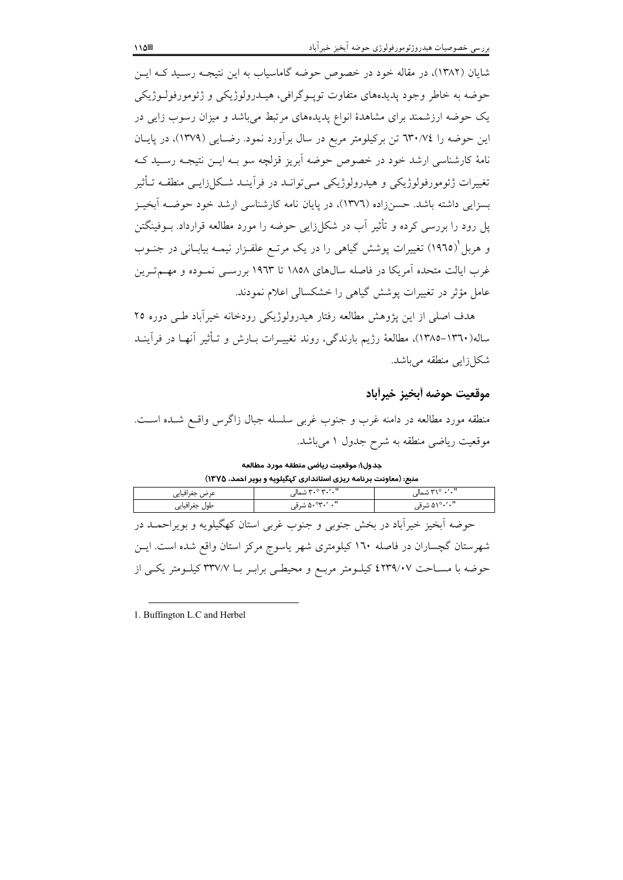شایان (۱۳۸۲)، در مقاله خود در خصوص حوضه گاماسیاب به این نتیجـه رسـید کـه ایــن حوضه به خاطر وجود پدیدههای متفاوت توپـوگرافی، هیـدرولوژیکی و ژئومورفولـوژیکی یک حوضه ارزشمند برای مشاهدهٔ انواع پدیدههای مرتبط میباشد و میزان رسوب زایی در این حوضه را ٦٣٠/٧٤ تن برکیلومتر مربع در سال برآورد نمود. رضـایی (١٣٧٩)، در پایــان نامهٔ کارشناسی ارشد خود در خصوص حوضه آبریز قزلچه سو بـه ایــن نتیجـه رسـید کــه تغییرات ژئومورفولوژیکی و هیدرولوژیکی مـیتوانـد در فرآینـد شـکل(ایـی منطقـه تـأثیر بسزایی داشته باشد. حسنزاده (١٣٧٦)، در پایان نامه کارشناسی ارشد خود حوضــه آبخیــز یل رود را بررسی کرده و تأثیر آب در شکل(ایی حوضه را مورد مطالعه قرارداد. بــوفینگتن و هربل'(١٩٦٥) تغییرات پوشش گیاهی را در یک مرتـع علفـزار نیمـه بیابـانی در جنــوب غرب ایالت متحده اَمریکا در فاصله سال۱۵۸ تا ۱۹۲۳ بررسـی نمـوده و مهــمتـرین عامل مؤثر در تغییرات یوشش گیاهی را خشکسالی اعلام نمودند.

هدف اصلی از این یژوهش مطالعه رفتار هیدرولوژیکی رودخانه خیرآباد طـی دوره ۲۵ ساله(١٣٦٠–١٣٨٥)، مطالعهٔ رژيم بارندگي، روند تغييـرات بــارش و تــأثير آنهــا در فرآينــد شکل زایی منطقه می باشد.

#### موقعيت حوضه أبخيز خيرأباد

منطقه مورد مطالعه در دامنه غرب و جنوب غربی سلسله جبال زاگرس واقع شـده اسـت. موقعیت ریاضی منطقه به شرح جدول ۱ میباشد.

جدول١: موقعيت رياضي منطقه مورد مطالعه منبع: (معاونت برنامه ریزی استانداری کهگیلویه و بویر احمد، ۱۳۷۵)

| عرض جغرافيايي                                                                       | ۳۰٬۰۰۰ شمالی    | ۲۱٬۰۰۰٬۰۰۰ شمالی |
|-------------------------------------------------------------------------------------|-----------------|------------------|
| طول جغرافيايي                                                                       | "۰ ′٬۳۰°۵۰ شرقی | ۵۱°۰′۰″ شرقی     |
| حوضه أبخیز خیرأباد در بخش جنوبی و جنوب غربی استان کهگیلویه و بویراحمــد در          |                 |                  |
| یشی پسان گی ایان در ماه از ۱۳۱۰ کا بعد میشین با به بین کر ایسان باقی شدن این بای بر |                 |                  |

شهرستان گچساران در فاصله ۱٦۰ کیلومتری شهر یاسوج مرکز استان واقع شده است. ایــن حوضه با مســاحت ٤٢٣٩/٠٧ كيلــومتر مربــع و محيطــي برابــر بــا ٣٣٧/٧ كيلــومتر يكــي از

1. Buffington L.C and Herbel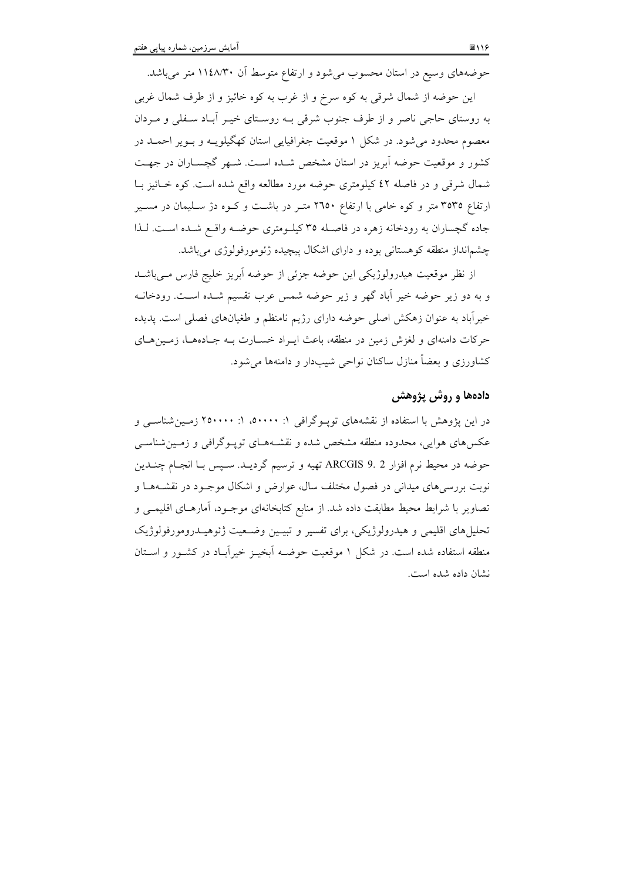حوضههای وسیع در استان محسوب میشود و ارتفاع متوسط آن ۱۱٤٨/۳۰ متر میباشد.

این حوضه از شمال شرقی به کوه سرخ و از غرب به کوه خائیز و از طرف شمال غربی به روستای حاجی ناصر و از طرف جنوب شرقی بـه روسـتای خیـر آبـاد سـفلی و مـردان معصوم محدود می شود. در شکل ۱ موقعیت جغرافیایی استان کهگیلویـه و بـویر احمـد در کشور و موقعیت حوضه اَبریز در استان مشخص شـده اسـت. شـهر گچســاران در جهـت شمال شرقی و در فاصله ٤٢ كيلومتري حوضه مورد مطالعه واقع شده است. كوه خـائيز بـا ارتفاع ۳۵۳۵ متر و کوه خامی با ارتفاع ۲۱۵۰ متـر در باشـت و کـوه دژ سـليمان در مسـير جاده گچساران به رودخانه زهره در فاصـله ٣٥ کیلــومتری حوضــه واقــع شــده اســت. لــذا چشمانداز منطقه کوهستانی بوده و دارای اشکال پیچیده ژئومورفولوژی می باشد.

از نظر موقعیت هیدرولوژیکی این حوضه جزئی از حوضه آبریز خلیج فارس مےباشـد و به دو زیر حوضه خیر آباد گهر و زیر حوضه شمس عرب تقسیم شـده اسـت. رودخانــه خیرآباد به عنوان زهکش اصلی حوضه دارای رژیم نامنظم و طغیانهای فصلی است. پدیده حرکات دامنهای و لغزش زمین در منطقه، باعث ایـراد خسـارت بــه جــادههــا، زمــینهــای کشاورزی و بعضاً منازل ساکنان نواحی شیبدار و دامنهها می شود.

#### دادهها و روش پژوهش

در این پژوهش با استفاده از نقشههای توپوگرافی ۱: ۵۰۰۰۰، ۱: ۲۵۰۰۰۰ زمین شناسبی و عکسهای هوایی، محدوده منطقه مشخص شده و نقشـههـای تویـوگرافی و زمـینشناسـی حوضه در محيط نرم افزار ARCGIS 9. 2 تهيه و ترسيم گرديـد. سـپس بـا انجـام چنـدين نوبت بررسیهای میدانی در فصول مختلف سال، عوارض و اشکال موجـود در نقشــههــا و تصاویر با شرایط محیط مطابقت داده شد. از منابع کتابخانهای موجـود، آمارهـای اقلیمـی و تحلیل های اقلیمی و هیدرولوژیکی، برای تفسیر و تبیـین وضـعیت ژئوهیـدرومورفولوژیک منطقه استفاده شده است. در شکل ۱ موقعیت حوضـه آبخیـز خیرآبـاد در کشـور و اسـتان نشان داده شده است.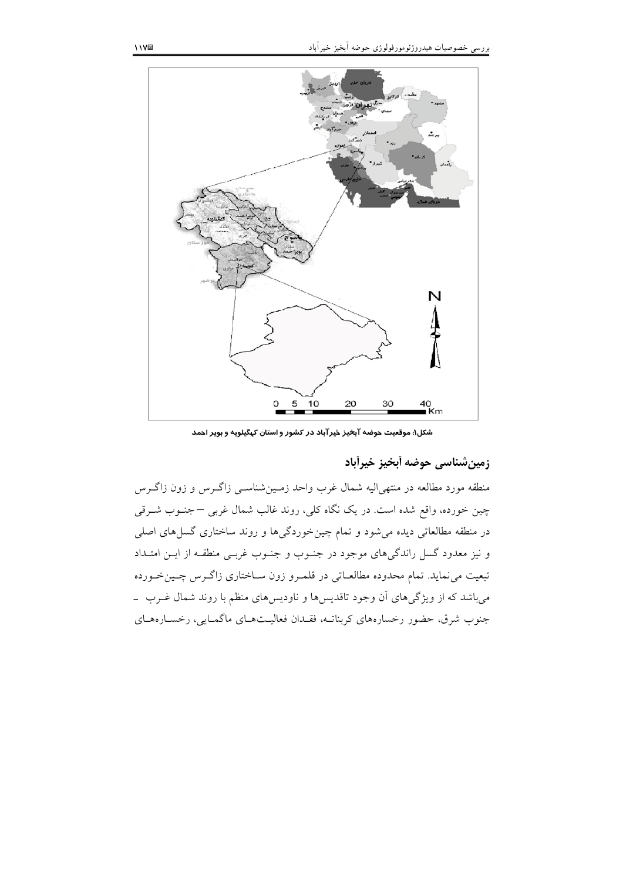

شکل۱: موقعیت حوضه آبخیز خیرآباد در کشور و استان کهگیلویه و بویر احمد

زمين شناسي حوضه أبخيز خيرأباد

منطقه مورد مطالعه در منتهىاليه شمال غرب واحد زمـينشناسـي زاگــرس و زون زاگــرس چین خورده، واقع شده است. در یک نگاه کلی، روند غالب شمال غربی – جنـوب شــرقی در منطقه مطالعاتی دیده می شود و تمام چین خوردگیها و روند ساختاری گسل های اصلی و نیز معدود گسل راندگیهای موجود در جنـوب و جنـوب غربـی منطقـه از ایــن امتـداد تبعیت می نماید. تمام محدوده مطالعـاتی در قلمـرو زون سـاختاری زاگـرس چـینخـورده میباشد که از ویژگیهای آن وجود تاقدیسها و ناودیسهای منظم با روند شمال غـرب \_ جنوب شرق، حضور رخسارههاي كربناتـه، فقـدان فعاليـتهـاي ماگمـايي، رخسـارههـاي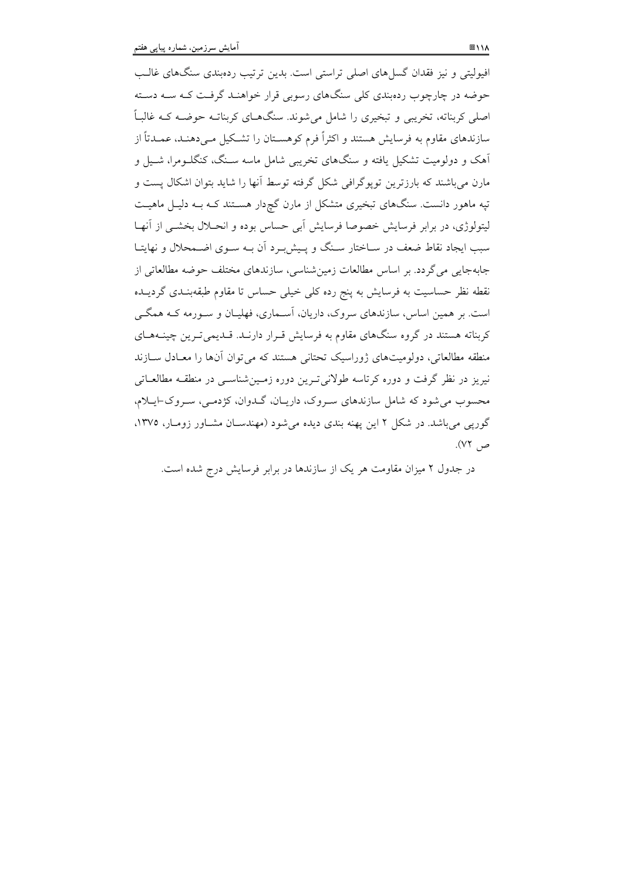افیولیتی و نیز فقدان گسل های اصلی تراستی است. بدین ترتیب ردهبندی سنگهای غالـب حوضه در چارچوب ردهبندی کلی سنگهای رسوبی قرار خواهنـد گرفـت کـه سـه دسـته اصلی کربناته، تخریبی و تبخیری را شامل میشوند. سنگهـای کربناتـه حوضـه کـه غالبـاً سازندهای مقاوم به فرسایش هستند و اکثراً فرم کوهســتان را تشــکیل مــی(دهنــد، عمــدتاً از آهک و دولومیت تشکیل یافته و سنگهای تخریبی شامل ماسه سـنگ، کنگلـومرا، شـیل و مارن می باشند که بارزترین تویوگرافی شکل گرفته توسط آنها را شاید بتوان اشکال پست و تپه ماهور دانست. سنگهای تبخیری متشکل از مارن گچردار هسـتند کـه بـه دلیـل ماهیـت ليتولوژي، در برابر فرسايش خصوصا فرسايش اَبي حساس بوده و انحــلال بخشــي از اَنهــا سب ایجاد نقاط ضعف در سـاختار سـنگ و پـیش بـر د آن بـه سـوی اضـمحلال و نهایتـا جابهجایی می گردد. بر اساس مطالعات زمین شناسی، سازندهای مختلف حوضه مطالعاتی از نقطه نظر حساسیت به فرسایش به پنج رده کلی خیلی حساس تا مقاوم طبقهبنیدی گردییده است. بر همین اساس، سازندهای سروک، داریان، آسـماری، فهلیــان و سـورمه کــه همگــی کربناته هستند در گروه سنگهای مقاوم به فرسایش قـرار دارنـد. قــدیمیتـرین چینــههـای منطقه مطالعاتی، دولومیتهای ژوراسیک تحتانی هستند که می توان آنها را معـادل سـازند نیریز در نظر گرفت و دوره کرتاسه طولانی تـرین دوره زمـینشناسـی در منطقـه مطالعـاتی محسوب مي شود كه شامل سازندهاي سووك، داريـان، گـدوان، كۋدمـي، سـروك-ايـلام، گوریی می باشد. در شکل ۲ این یهنه بندی دیده می شود (مهندسـان مشـاور زومـار، ۱۳۷۵، ص ۷۲).

در جدول ۲ میزان مقاومت هر یک از سازندها در برابر فرسایش درج شده است.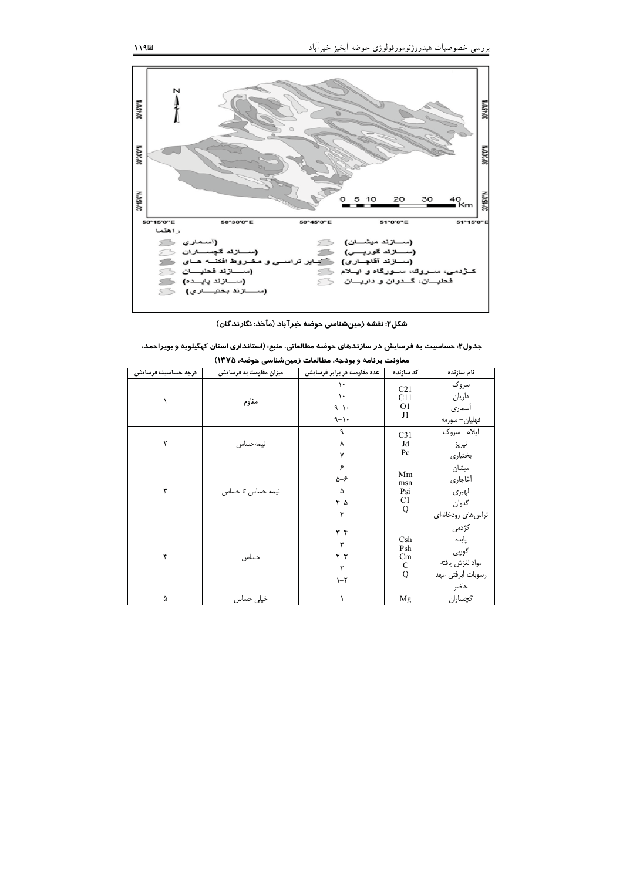

شکل۲: نقشه زمینشناسی حوضه خیرآباد (مأخذ: نگارندگان)

| جدول۲: حساسیت به فرسایش در سازندهای حوضه مطالعاتی. منبع: (استانداری استان کپگیلویه و بویراحمد، |  |  |
|------------------------------------------------------------------------------------------------|--|--|
|------------------------------------------------------------------------------------------------|--|--|

|                    | معاونت برنامه و بودجه، مطالعات زمینشناسی حوضه، ۱۳۷۵) |                                                                               |                                                |                                                                         |  |  |  |  |
|--------------------|------------------------------------------------------|-------------------------------------------------------------------------------|------------------------------------------------|-------------------------------------------------------------------------|--|--|--|--|
| درجه حساسيت فرسايش | میزان مقاومت به فرسایش                               | عدد مقاومت در برابر فرسایش                                                    | كد سازنده                                      | نام سازنده                                                              |  |  |  |  |
|                    | مقاوم                                                | ١.<br>$\mathcal{L}$<br>$-1 -$<br>$-1 -$                                       | C <sub>21</sub><br>C11<br>O <sub>1</sub><br>J1 | سروک<br>داريان<br>أسمارى<br>فهليان– سورمه                               |  |  |  |  |
| ۲                  | نيمهحساس                                             | ٩<br>٨<br>$\mathsf{v}$                                                        | C <sub>31</sub><br>Jd<br>Pc                    | ايلام- سروک<br>نيريز<br>بختياري                                         |  |  |  |  |
| ٣                  | نیمه حساس تا حساس                                    | ۶<br>$\Delta-\mathcal{F}$<br>۵<br>$-2$<br>۴                                   | Mm<br>msn<br>Psi<br>C <sub>1</sub><br>Q        | ميشان<br>أغاجاري<br>لهبرى<br>گدوان<br>تراس های رودخانهای                |  |  |  |  |
| ۴                  | حساس                                                 | $\mathbf{y}-\mathbf{k}$<br>٣<br>$\uparrow-\uparrow$<br>٢<br>$\lambda - \zeta$ | Csh<br>Psh<br>Cm<br>$\mathbf C$<br>Q           | كژدمى<br>یابده<br>گورپى<br>مواد لغزش يافته<br>رسوبات أبرفتي عهد<br>حاضر |  |  |  |  |
| ۵                  | خیلی حساس                                            | ١                                                                             | Mg                                             | گچساران                                                                 |  |  |  |  |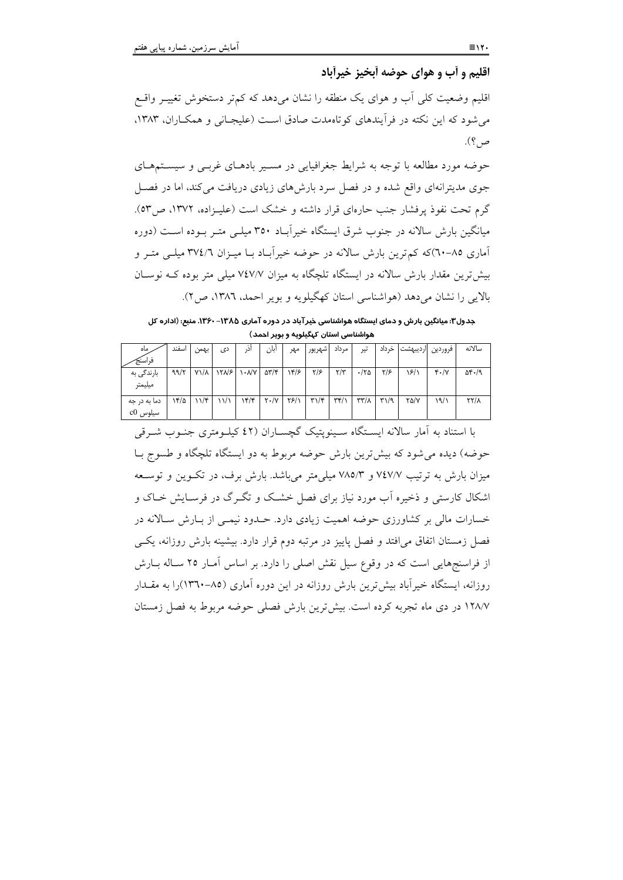اقليم و أب و هواي حوضه أبخيز خيرأباد

اقلیم وضعیت کلی اّب و هوای یک منطقه را نشان میدهد که کمتر دستخوش تغییـر واقـع می شود که این نکته در فرآیندهای کو تاهمدت صادق است (علیجـانی و همکـاران، ۱۳۸۳، ص؟).

حوضه مورد مطالعه با توجه به شرایط جغرافیایی در مسـیر بادهـای غربـی و سیسـتمهـای جوی مدیترانهای واقع شده و در فصل سرد بارش های زیادی دریافت می کند، اما در فصل گرم تحت نفوذ پرفشار جنب حارهای قرار داشته و خشک است (علیـزاده، ۱۳۷۲، ص٥٣). میانگین بارش سالانه در جنوب شرق ایستگاه خیرآباد ۳۵۰ میلـی متـر بـوده اسـت (دوره آماری ۸۵–۲۰)که کم ترین بارش سالانه در حوضه خیرآباد بـا میـزان ۳۷٤/٦ میلــی متــر و بیش ترین مقدار بارش سالانه در ایستگاه تلچگاه به میزان ۷٤٧/۷ میلی متر بوده کـه نوسـان بالايي را نشان مي دهد (هواشناسي استان كهگيلويه و بوير احمد، ١٣٨٦، ص٢).

جدول۳: میانگین بارش و دمای ایستگاه هواشناسی خیرآباد در دوره آماری ۱۳۸۵– ۱۳۶۰. منبع: (اداره کل هواشناسی استان کهگیلویه و بویر احمد)

| . ماه        | اسفند | بهمن               | دی   | آن,                          | آبان                         | مهر  | اشهريور                           | ۔ مرداد                 | تير                        | خر داد | فروردين ارديبهشت |                                     | سالانه              |
|--------------|-------|--------------------|------|------------------------------|------------------------------|------|-----------------------------------|-------------------------|----------------------------|--------|------------------|-------------------------------------|---------------------|
| فراسنج       |       |                    |      |                              |                              |      |                                   |                         |                            |        |                  |                                     |                     |
| بارندگی به   | ۹۹/۲  | $Y\lambda/\lambda$ | 1505 | $\lambda$ - $\lambda/\gamma$ | $\Delta \Upsilon / \Upsilon$ | ۱۴/۶ | $\frac{1}{2}$                     | $\mathbf{r}/\mathbf{r}$ | $\cdot$ /۲۵                | ۳۱۶    | ۱۶/۱             | $\mathfrak{r} \cdot / \mathfrak{r}$ | $\Delta f \cdot /9$ |
| ميليمتر      |       |                    |      |                              |                              |      |                                   |                         |                            |        |                  |                                     |                     |
| دما به در جه | ۱۴/۵  | $11/\mathcal{F}$   | ۱۱/۱ | ۱۴/۴                         | $Y \cdot / Y$                | Y5/1 | $\mathbf{r}\mathbf{1}/\mathbf{r}$ | $\tau$ r $\gamma$       | $\mathcal{N}(\mathcal{X})$ | ۳۱/۹   | $Y\Delta/Y$      | ۱۹/۱                                | $\frac{1}{2}$       |
| سیلوس c0     |       |                    |      |                              |                              |      |                                   |                         |                            |        |                  |                                     |                     |

با استناد به آمار سالانه ایسـتگاه سـینویتیک گچسـاران (٤٢ کیلـومتری جنـوب شـرقی حوضه) دیده می شود که بیش ترین بارش حوضه مربوط به دو ایستگاه تلچگاه و طسوج بـا میزان بارش به ترتیب ۷٤٧/۷ و ۷۸۵/۳ میلم متر می باشد. بارش برف، در تک وین و توسیعه اشکال کارستی و ذخیره اَب مورد نیاز برای فصل خشـک و تگـرگ در فرسـایش خـاک و خسارات مالی بر کشاورزی حوضه اهمیت زیادی دارد. حـدود نیمـی از بـارش سـالانه در فصل زمستان اتفاق می افتد و فصل پاییز در مرتبه دوم قرار دارد. بیشینه بارش روزانه، یکسی از فراسنجهایی است که در وقوع سیل نقش اصلی را دارد. بر اساس آمـار ۲۵ سـاله بــارش روزانه، ایستگاه خیر آباد بیش ترین بارش روزانه در این دوره آماری (۸۵–۱۳٦۰)را به مقــدار ١٢٨/٧ در دي ماه تجربه كرده است. بيش ترين بارش فصلي حوضه مربوط به فصل زمستان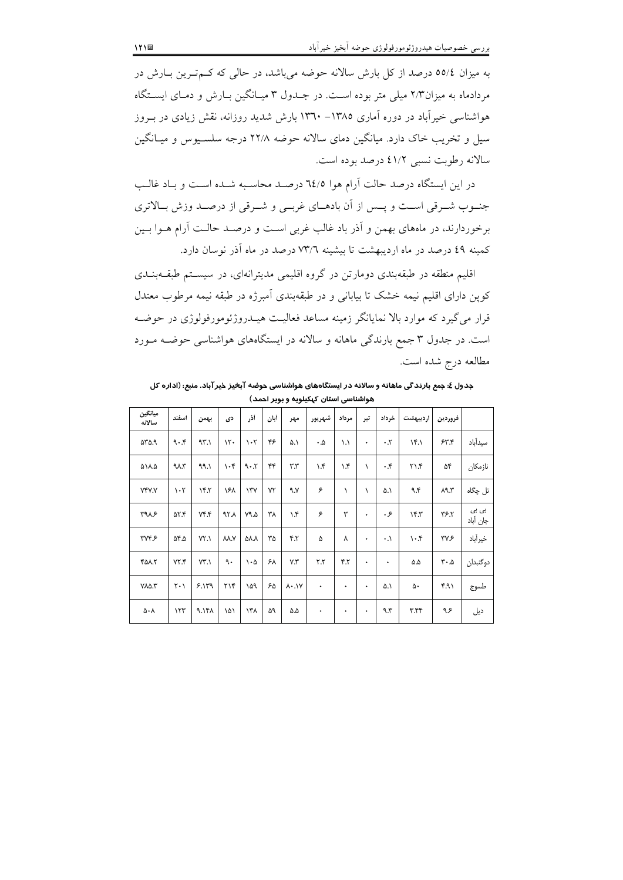به میزان ٥٥/٤ درصد از کل بارش سالانه حوضه میباشد، در حالی که کـمتـرین بـارش در مردادماه به میزان۲/۳ میلی متر بوده است. در جـدول ۳ میـانگین بـارش و دمـای ایسـتگاه هواشناسی خیرآباد در دوره آماری ۱۳۸۵– ۱۳٦۰ بارش شدید روزانه، نقش زیادی در بـروز سیل و تخریب خاک دارد. میانگین دمای سالانه حوضه ۲۲/۸ درجه سلسـیوس و میـانگین سالانه رطوبت نسبي ٤١/٢ درصد بوده است.

در این ایستگاه درصد حالت آرام هوا ٦٤/٥ درصد محاسبه شبده است و بیاد غالب جنسوب شـرقي اسـت و يـس از آن بادهـاي غربــي و شــرقي از درصـد وزش بــالاتري برخوردارند، در ماههای بهمن و آذر باد غالب غربی است و درصـد حالـت آرام هــوا بــین کمینه ٤٩ درصد در ماه اردیبهشت تا بیشینه ٧٣/٦ درصد در ماه آذر نوسان دارد.

اقلیم منطقه در طبقهبندی دومارتن در گروه اقلیمی مدیترانهای، در سیستم طبقـهبنـدی کوپن دارای اقلیم نیمه خشک تا بیابانی و در طبقهبندی اَمبرژه در طبقه نیمه مرطوب معتدل قرار می گیرد که موارد بالا نمایانگر زمینه مساعد فعالیت هیــدروژئومورفولوژی در حوضــه است. در جدول ۳ جمع بارندگی ماهانه و سالانه در ایستگاههای هواشناسی حوضـه مـورد مطالعه درج شده است.

.<br>جدول ٤: جمع بارندگی ماهانه و سالانه در ایستگاههای هواشناسی حوضه آب<del>خ</del>یز خیرآباد. منبع: (اداره کل هواشناسی استان کیکیلویه و بویر احمد)

|                           |                               |        |                 |                | .           | . .                       |                         |              |           |                        |            |                               |                   |
|---------------------------|-------------------------------|--------|-----------------|----------------|-------------|---------------------------|-------------------------|--------------|-----------|------------------------|------------|-------------------------------|-------------------|
| ميانگين<br>سالاته         | اسفند                         | بهمن   | دی              | أذر            | أبان        | مهر                       | شهريور                  | مرداد        | تير       | خرداد                  | ارديبهشت   | فروردين                       |                   |
| $\Delta Y \Delta \Omega$  | 9.5                           | 95.1   | 15.             | $\cdot$ ٢      | ۴۶          | ۵.۱                       | ۰۵                      | ۱.۱          | ٠         | $\cdot$ . $\mathsf{y}$ | Yf.        | 55.5                          | سيدآباد           |
| ۵۱۸.۵                     | 4.1                           | ۹۹.۱   | $\cdot$ ۴       | 9.5            | ۴۴          | $\mathbf{r}.\mathbf{r}$   | $\lambda$ .۴            | $\lambda$ .۴ | ١         | $\cdot$ .۴             | 71.5       | ۵۴                            | نازمكان           |
| <b>YFY.Y</b>              | $\cdot$ ٢                     | Yf     | ۱۶۸             | $\Upsilon$     | $Y\Upsilon$ | ۹.۷                       | ۶                       | ١            | $\lambda$ | ۵.۱                    | ۹۴         | $\lambda$ 9.۳                 | تل چگاه           |
| 4115                      | ۵۲.۴                          | $Y^*Y$ | ۹۲۸             | ۷۹.۵           | ۳۸          | $\lambda$ .۴              | ۶                       | ۳            | ٠         | ۰۶                     | 15.7       | ٣۶.٢                          | بی بی<br>جان أباد |
| TVPF                      | ۵۴.۵                          | YY.    | VY.V            | ۵۸.Α           | ٣۵          | 5.7                       | ۵                       | ٧            | ٠         | $\cdot$ .              | $\cdot$ .۴ | ۳۷۶                           | خيرأباد           |
| 408.7                     | YY.                           | VT.1   | ٩.              | $\cdot \omega$ | ۶۸          | Y.Y'                      | $\mathbf{r}.\mathbf{r}$ | 5.7          | ٠         | ٠                      | ۵۵         | $\mathbf{r} \cdot \mathbf{r}$ | دوگنبدان          |
| $Y\Lambda\Delta.\Upsilon$ | $\mathsf{Y} \cdot \mathsf{Y}$ | 5.119  | $\gamma \gamma$ | ۱۵۹            | ۶۵          | $\lambda \cdot \lambda V$ | ۰                       | ۰            | ٠         | ۵.۱                    | ۵۰         | ۴۹۱                           | طسوج              |
| ۵۰۸                       | $\gamma \gamma \gamma$        | 9.141  | ۱۵۱             | ۱۳۸            | ۵۹          | ۵.۵                       | ۰                       | ۰            | ٠         | ۹۳                     | ۳.۴۴       | عر۹                           | ديل               |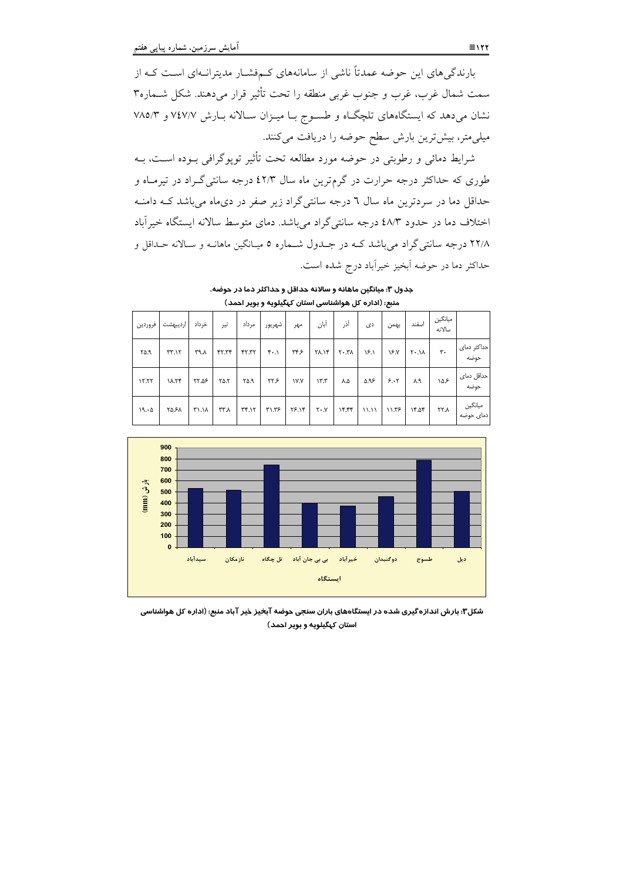بارندگیهای این حوضه عمدتاً ناشی از سامانههای کـمفشـار مدیترانـهای اسـت کـه از سمت شمال غرب، غرب و جنوب غربي منطقه را تحت تأثير قرار مي دهند. شكل شــماره٣ نشان میدهد که ایستگاههای تلچگاه و طسـوج بـا میـزان سـالانه بـارش ۷٤٧/۷ و ۷۸۵/۳ میلی متر، بیش ترین بارش سطح حوضه را دریافت میکنند.

شرایط دمائی و رطوبتی در حوضه مورد مطالعه تحت تأثیر توپوگرافی بـوده اسـت، بــه طوری که حداکثر درجه حرارت در گرمترین ماه سال ٤٢/٣ درجه سانتی گـراد در تیرمـاه و حداقل دما در سردترین ماه سال ٦ درجه سانتیگراد زیر صفر در دیماه میباشد کـه دامنـه اختلاف دما در حدود ٤٨/٣ درجه سانتي گراد مي باشد. دماي متوسط سالانه ايستگاه خيرآباد ۲۲/۸ درجه سانتیگراد میباشد کـه در جـدول شـماره ۵ میـانگین ماهانـه و سـالانه حـداقل و حداکثر دما در حوضه اَبخیز خیراَباد درج شده است.

جدول ٣: میانگین ماهانه و سالانه حداقل و حداکثر دما در حوضه. .<br>منبع: (اداره کل هواشناسی استان کیگیلویه و پوپر احمد)

|         |          |       |             |                                   | $\sim$ $\sim$ $\sim$ $\sim$ $\sim$ $\sim$ |             |              |          | .     |       |              |                   |                      |
|---------|----------|-------|-------------|-----------------------------------|-------------------------------------------|-------------|--------------|----------|-------|-------|--------------|-------------------|----------------------|
| فروردين | ارديبهشت | خرداد | تير         | مرداد                             | شهريور                                    | مهر         | أبان         | آذر      | دی    | بهمن  | اسفند        | ميانگين<br>سالانه |                      |
| ۲۵.۹    | TT.17    | ۳۹ ۸  | YY. YY      | YY.77                             | $\mathbf{r} \cdot \mathbf{v}$             | ۳۴۶         | <b>۲۸.۱۴</b> | $Y - Y$  | ۱۶.۱  | ١۶.٧  | $X \cdot .1$ | $\mathbf{r}$ .    | حداكثر دماى<br>حوضه  |
| 17.77   | ۱۸.۲۴    | ۲۲.۵۶ | $Y\Delta Y$ | ۴۵.۹                              | ۲۲۶                                       | <b>IV.Y</b> | $\gamma$     | ٨.۵      | ۵.۹۶  | 5.1   | ۸.۹          | ۱۵۶               | حداقل دمای<br>حوضه   |
| 19.0    | ۲۵.۶۸    | ۳۱.۱۸ | ۳۳.۸        | $\Upsilon\Upsilon \cdot \Upsilon$ | ۳۱.۳۶                                     | ۲۶.۱۴       | $Y \cdot Y$  | $Yf.$ ۴۴ | 11.11 | 11.55 | 15.05        | <b>۲۲.۸</b>       | میانگین<br>دمای حوضه |



شکل۳: بارش اندازه گیری شده در ایستگاههای باران سنجی حوضه آبخیز خیر آباد منبع: (اداره کل هواشناسی استان کهگیلویه و بویر احمد)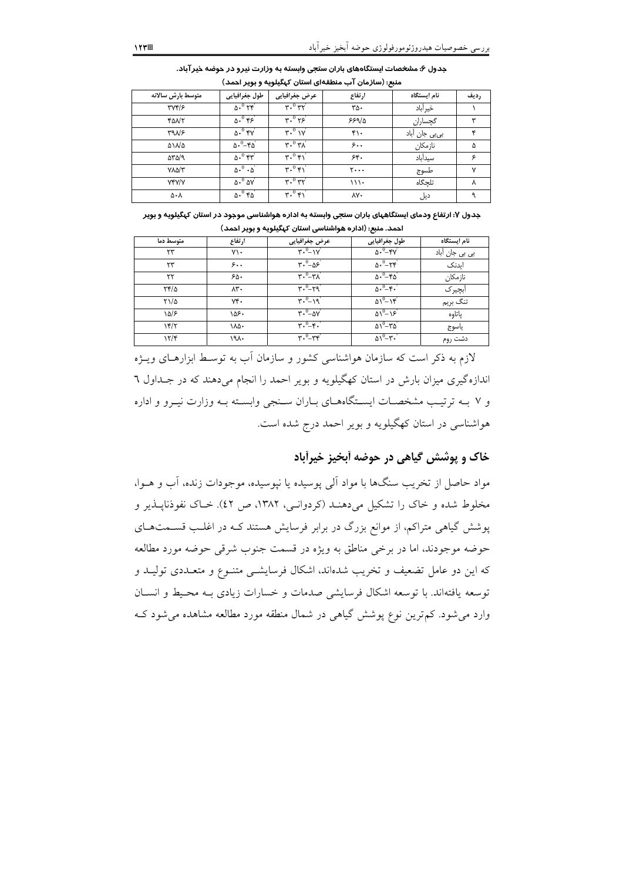| متوسط بارش سالانه         | طول جغرافيايى                            | عرض جغرافیایی                         | ارتفاع                         | نام ایستگاه   | رديف |
|---------------------------|------------------------------------------|---------------------------------------|--------------------------------|---------------|------|
| $\Upsilon V \Upsilon / 5$ | $\Delta$ . $O$ $\Upsilon$ $\Upsilon$     | $r.^0$ $rr'$                          | ra.                            | خير أباد      |      |
| <b>TONY</b>               | $\delta \cdot 0$ rs                      | $r.^0 r$                              | 559/0                          | گچساران       | ٣    |
| T9N5                      | $\Delta \cdot 0$ fy                      | $\mathbf{r} \cdot \mathbf{v}'$        | $f \cdot$                      | بیبی جان آباد | ۴    |
| ۵۱۸۵                      | $\Delta \cdot - \epsilon \Delta$         | $\overline{r \cdot^0}$ $\overline{r}$ | ۶۰,                            | نازمكان       | ۵    |
| $\Delta Y \Delta / 9$     | $\Delta$ . $^0$ $\uparrow$ r $^{\prime}$ | $\mathbf{r} \cdot \mathbf{v}$         | 5.6                            | سيدأباد       | ۶    |
| $Y\Lambda\Delta/\Upsilon$ | $\Delta \cdot 0 \cdot \Delta$            | $\mathbf{r} \cdot \mathbf{v}'$        | $\mathbf{y} \cdot \cdot \cdot$ | طسوج          | ٧    |
| <b>YFY/Y</b>              | $\Delta \cdot 0$ $\Delta V$              | $r \cdot 0 r r'$                      | 111.                           | تلحگاه        | ٨    |
| ۵۰۸                       | $\Delta \cdot 0$ ra                      | $\mathbf{r} \cdot \mathbf{v}$         | ٨Y٠                            | دیل           |      |

جدول ۶: مشخصات ایستگاههای باران ستجی وابسته به وزارت نیرو در حوضه خیرآباد. منبع: (سازمان آب منطقهای استان کهگیلویه و بویر احمد)

جدول ۷: ارتفاع ودمای ایستگاههای باران سنجی وابسته به اداره هواشناسی موجود در استان کهگیلویه و بویر

|             | احمد. منبع: (اداره هواشناسی استان کهگیلویه و بویر احمد) |                                                              |                                    |                                |  |  |  |  |
|-------------|---------------------------------------------------------|--------------------------------------------------------------|------------------------------------|--------------------------------|--|--|--|--|
| متوسط دما   | ارتفاع                                                  | عرض جغرافیایی                                                | طول جغرافيايي                      | نام ایستگاه                    |  |  |  |  |
| ۲۳          | $Y \setminus \cdot$                                     | $\mathbf{r} \cdot \mathbf{v} = -\mathbf{v} \cdot \mathbf{v}$ | $\Delta \cdot 0 - \gamma \gamma$   | ب <i>ی</i> ب <i>ی</i> جان آباد |  |  |  |  |
| ۲۳          | 5.1                                                     | $r \cdot \frac{0}{-\Delta s}$                                | $\Delta \cdot 0 - \tau \cdot \tau$ | اىدنك                          |  |  |  |  |
| ۲۲          | ۶۵۰                                                     | $r \cdot 0 - r \lambda$                                      | $\Delta \cdot - \epsilon \Delta$   | نازمكان                        |  |  |  |  |
| ۲۴/۵        | ۸۳۰                                                     | $r \cdot 0 - r q$                                            | $\Delta \cdot - \epsilon$ .        | أبچير ک                        |  |  |  |  |
| ۲۱/۵        | $Y^*$                                                   | $r \cdot \overset{0}{-} \cdot q$                             | $\Delta$ <sup>0</sup> $-N^c$       | تنگ بريم                       |  |  |  |  |
| ۱۵/۶        | ۱۵۶۰                                                    | $\overline{r} \cdot \overline{O} - \Delta V$                 | $\Delta V^0 - \lambda \xi$         | ياتاوه                         |  |  |  |  |
| $Yf/\gamma$ | ۱۸۵۰                                                    | $\mathbf{r} \cdot \mathbf{v}^{-1} \cdot \mathbf{v}$          | $\Delta V^0 - Y \Delta$            | ياسوج                          |  |  |  |  |
| 15/5        | ۱۹۸۰                                                    | $r^0 - r^2$                                                  | $\Delta V^0 - \tau$ .              | دشت روم                        |  |  |  |  |

لازم به ذکر است که سازمان هواشناسی کشور و سازمان آب به توسـط ابزارهـای ویــژه اندازه گیری میزان بارش در استان کهگیلویه و بویر احمد را انجام میدهند که در جـداول ٦ و ۷ بـه ترتیب مشخصـات ایسـتگاههـای بـاران سـنجی وابسـته بـه وزارت نیـرو و اداره هواشناسی در استان کهگیلویه و بویر احمد درج شده است.

# خاک و پوشش گیاهی در جوضه آبخیز خبرآباد

مواد حاصل از تخریب سنگها با مواد آلمی پوسیده یا نپوسیده، موجودات زنده، آب و هــوا، مخلوط شده و خاک را تشکیل میدهنـد (کردوانـی، ۱۳۸۲، ص ٤٢). خـاک نفوذنایــذیر و یوشش گیاهی متراکم، از موانع بزرگ در برابر فرسایش هستند کـه در اغلـب قســمتهـای حوضه موجودند، اما در برخي مناطق به ويژه در قسمت جنوب شرقي حوضه مورد مطالعه که این دو عامل تضعیف و تخریب شدهاند، اشکال فرسایشــی متنــوع و متعــددی تولیــد و توسعه یافتهاند. با توسعه اشکال فرسایشی صدمات و خسارات زیادی بـه محـیط و انســان وارد می شود. کم ترین نوع پوشش گیاهی در شمال منطقه مورد مطالعه مشاهده می شود ک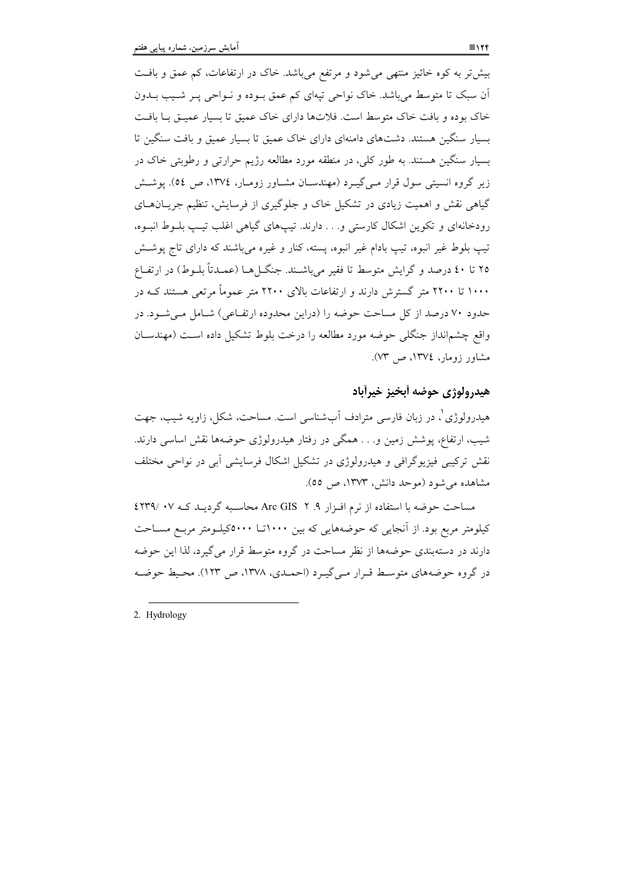بیش تر به کوه خائیز منتهی میشود و مرتفع میباشد. خاک در ارتفاعات، کم عمق و بافت اّن سبک تا متوسط می باشد. خاک نواحی تیهای کم عمق بـوده و نـواحی پـر شـیب بــدون خاک بوده و بافت خاک متوسط است. فلاتها دارای خاک عمیق تا بسیار عمیـق بـا بافـت بسیار سنگین هستند. دشتهای دامنهای دارای خاک عمیق تا بسیار عمیق و بافت سنگین تا بسیار سنگین هستند. به طور کلی، در منطقه مورد مطالعه رژیم حرارتی و رطوبتی خاک در زیر گروه انسیتی سول قرار مـیگیـرد (مهندسـان مشـاور زومـار، ۱۳۷٤، ص ٥٤). پوشـش گیاهی نقش و اهمیت زیادی در تشکیل خاک و جلوگیری از فرسایش، تنظیم جریــان هــای رودخانهای و تکوین اشکال کارستی و… دارند. تیپهای گیاهی اغلب تیپ بلـوط انبـوه، تيب بلوط غير انبوه، تيب بادام غير انبوه، يسته، كنار و غيره مي باشند كه داراي تاج يوشش ۲۵ تا ٤٠ درصد و گرايش متوسط تا فقير مي باشـند. جنگــا هــا (عمــدتاً بلــوط) در ارتفــاع ۱۰۰۰ تا ۲۲۰۰ متر گسترش دارند و ارتفاعات بالای ۲۲۰۰ متر عموماً مرتعی هستند کـه در حدود ۷۰ درصد از کل مساحت حوضه را (دراین محدوده ارتفـاعی) شـامل مـیشـود. در واقع چشمانداز جنگلی حوضه مورد مطالعه را درخت بلوط تشکیل داده است (مهندسان مشاور زومار، ١٣٧٤، ص ٧٣).

## هيدرولوژي حوضه أبخيز خيرأباد

هیدرولوژی'، در زبان فارسی مترادف آبشناسی است. مساحت، شکل، زاویه شبب، جهت شیب، ارتفاع، یوشش زمین و… همگی در رفتار هیدرولوژی حوضهها نقش اساسی دارند. نقش ترکیبی فیزیوگرافی و هیدرولوژی در تشکیل اشکال فرسایشی آبی در نواحی مختلف مشاهده می شود (موحد دانش، ۱۳۷۳، ص ٥٥).

مساحت حوضه با استفاده از نرم افزار ۹. ۲- Arc GIS محاسبه گردیـد کـه ۰۷- /۲۳۹ کیلومتر مربع بود. از آنجایی که حوضههایی که بین ۱۰۰۰تــا ۵۰۰۰کیلــومتر مربــع مســاحت دارند در دستهبندی حوضهها از نظر مساحت در گروه متوسط قرار می گیرد، لذا این حوضه در گروه حوضههای متوسط قـرار مـی گیـرد (احمـدی، ۱۳۷۸، ص ۱۲۳). محـیط حوضـه

2. Hydrology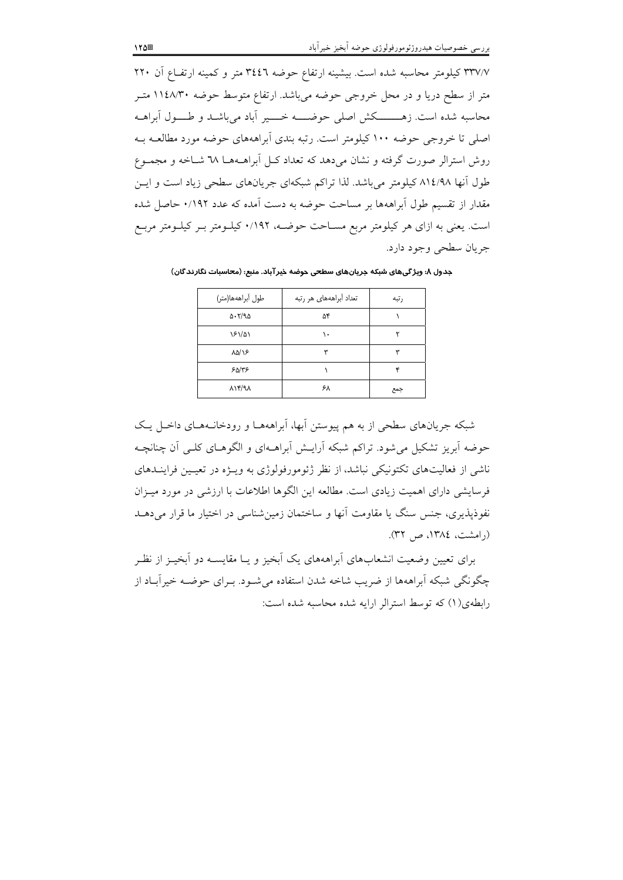٣٣٧/٧ كيلومتر محاسبه شده است. بيشينه ارتفاع حوضه ٣٤٤٦ متر و كمينه ارتفـاع آن ٢٢٠ متر از سطح دریا و در محل خروجی حوضه میباشد. ارتفاع متوسط حوضه ۱۱٤٨/۳۰ متـر محاسبه شده است. زهــــــــکش اصلی حوضـــــه خـــــير آباد میباشــد و طـــــول آبراهــه اصلی تا خروجی حوضه ۱۰۰ کیلومتر است. رتبه بندی اَبراهههای حوضه مورد مطالعـه بـه روش استرالر صورت گرفته و نشان می دهد که تعداد کـل اَبراهــهـا ٦٨ شــاخه و مجمــوع طول آنها ۸۱٤/۹۸ کیلومتر میباشد. لذا تراکم شبکهای جریانهای سطحی زیاد است و ایس مقدار از تقسیم طول آبراههها بر مساحت حوضه به دست آمده که عدد ۰/۱۹۲ حاصل شده است. یعنی به ازای هر کیلومتر مربع مسـاحت حوضـه، ۱۹۲/۰ کیلـومتر بـر کیلـومتر مربـع جريان سطحي وجود دارد.

| طول أبراههها(متر)                | تعداد أبراهههاى هر رتبه | رتبه |
|----------------------------------|-------------------------|------|
| $\Delta$ - $Y$ /9 $\Delta$       | ۵۴                      |      |
| 181/01                           | ١.                      |      |
| $\lambda \Delta / \lambda$       | ۳                       | ۳    |
| 50/75                            |                         | ۴    |
| $\lambda$ / $\gamma$ / $\lambda$ | ۶۸                      | جمع  |

جدول ٨: وبژ گیهای شبکه جریانهای سطحی جوضه خبر آباد. منبع: (محاسبات نگارندگان)

شبکه جریانهای سطحی از به هم پیوستن آبها، اَبراهههـا و رودخانـههـای داخـل یـک حوضه اَبِرِيزِ تشكيل مي شود. تراكم شبكه اَرايــش اَبراهــهاي و الگوهــاي كلــي اَن چنانچــه ناشی از فعالیتهای تکتونیکی نباشد، از نظر ژئومورفولوژی به ویـژه در تعیـین فراینــدهای فرسایشی دارای اهمیت زیادی است. مطالعه این الگوها اطلاعات با ارزشی در مورد میـزان نفوذیذیری، جنس سنگ یا مقاومت آنها و ساختمان زمین شناسی در اختیار ما قرار می دهــد (رامشت، ١٣٨٤، ص ٣٢).

برای تعیین وضعیت انشعابهای آبراهههای یک آیخیز و پیا مقایسیه دو آیخیـز از نظـر چگو نگی شبکه آبراههها از ضریب شاخه شدن استفاده می شـود. بـرای حوضـه خیر آبـاد از رابطهي (١) كه توسط استرالر ارايه شده محاسبه شده است: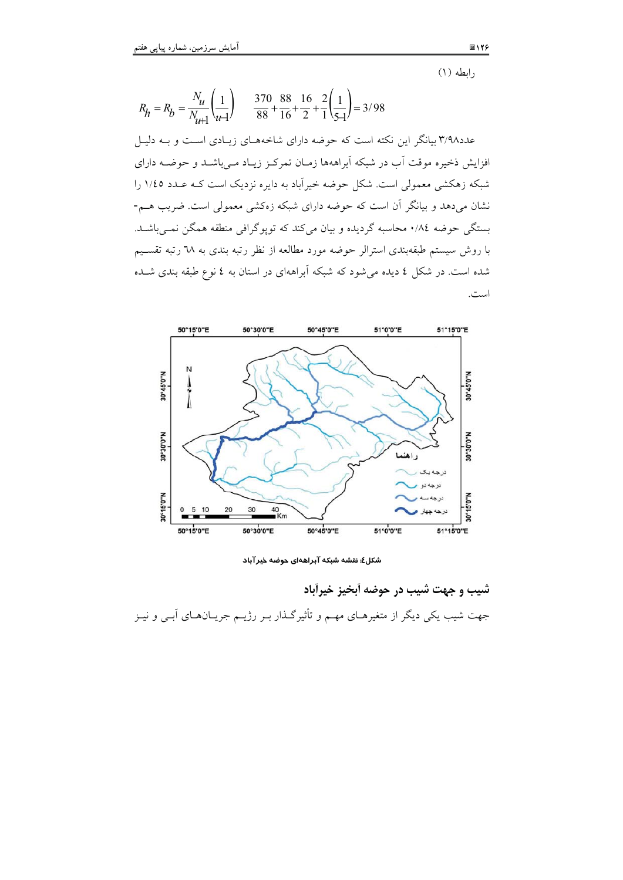$(1)$  وابطه

 $R_h = R_b = \frac{N_u}{N_{u1}} \left(\frac{1}{u-1}\right)$  $\frac{370}{88} + \frac{88}{16} + \frac{16}{2} + \frac{2}{1}\left(\frac{1}{54}\right) = 3/98$ عدد۳/۹۸ بیانگر این نکته است که حوضه دارای شاخههـای زیـادی اسـت و بـه دلیـل افزایش ذخیره موقت آب در شبکه آبراههها زمـان تمرکـز زیـاد مـیباشــد و حوضــه دارای شبکه زهکشی معمولی است. شکل حوضه خیرآباد به دایره نزدیک است کـه عـدد ١/٤٥ را .<br>نشان میدهد و بیانگر آن است که حوضه دارای شبکه زهکشی معمولی است. ضریب هــم-بستگی حوضه ٨٤/٠ محاسبه گردیده و بیان میکند که تویوگرافی منطقه همگن نمـیباشـد. با روش سیستم طبقهبندی استرالر حوضه مورد مطالعه از نظر رتبه بندی به ٦٨ رتبه تقســیم شده است. در شکل ٤ ديده مي شود که شبکه آبراههاي در استان به ٤ نوع طبقه بندي شـده است.



شکل٤: نقشه شبکه آبراههای حوضه خیر آباد

شيب و جهت شيب در حوضه أبخيز خيراًباد جهت شیب یکی دیگر از متغیرهـای مهـم و تأثیرگـذار بـر رژیـم جریـانهـای اَبـی و نیـز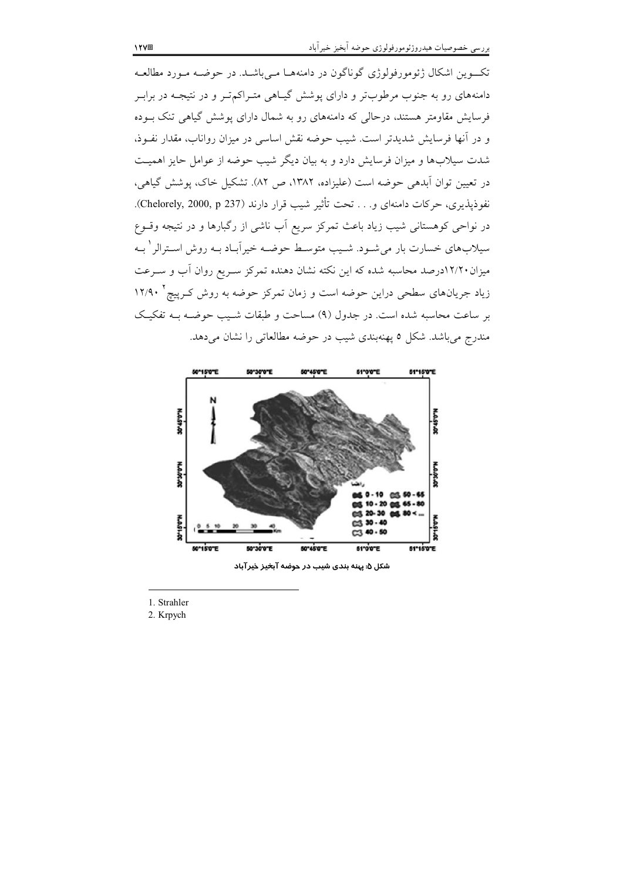تکسوین اشکال ژئومورفولوژی گوناگون در دامنههـا مـیباشـد. در حوضـه مـورد مطالعـه دامنههای رو به جنوب مرطوبتر و دارای پوشش گیـاهی متـراکم تــر و در نتیجــه در برابــر فرسایش مقاومتر هستند، درحالی که دامنههای رو به شمال دارای پوشش گیاهی تنک بـوده و در آنها فرسایش شدیدتر است. شیب حوضه نقش اساسی در میزان رواناب، مقدار نفـوذ، شدت سیلابها و میزان فرسایش دارد و به بیان دیگر شیب حوضه از عوامل حایز اهمیت در تعیین توان اَبدهی حوضه است (علیزاده، ۱۳۸۲، ص ۸۲). تشکیل خاک، یوشش گیاهی، نفوذيذيري، حركات دامنهاي و. . . تحت تأثير شيب قرار دارند (Chelorely, 2000, p 237). در نواحی کوهستانی شیب زیاد باعث تمرکز سریع اَب ناشی از رگبارها و در نتیجه وقــوع سیلابهای خسارت بار میشـود. شـیب متوسـط حوضـه خیراَبـاد بـه روش اسـترالر ٰ بـه میزان ۱۲/۲۰درصد محاسبه شده که این نکته نشان دهنده تمرکز سـریع روان آب و سـرعت زیاد جریانهای سطحی دراین حوضه است و زمان تمرکز حوضه به روش کـرپیچ ' ۱۲/۹۰ بر ساعت محاسبه شده است. در جدول (۹) مساحت و طبقات شـیب حوضـه بــه تفکیـک مندرج میباشد. شکل ٥ پهنهبندی شیب در حوضه مطالعاتی را نشان میدهد.



شکل ۵: پهنه بندی شیب در حوضه آبخیز خیرآباد

1. Strahler

2. Krpych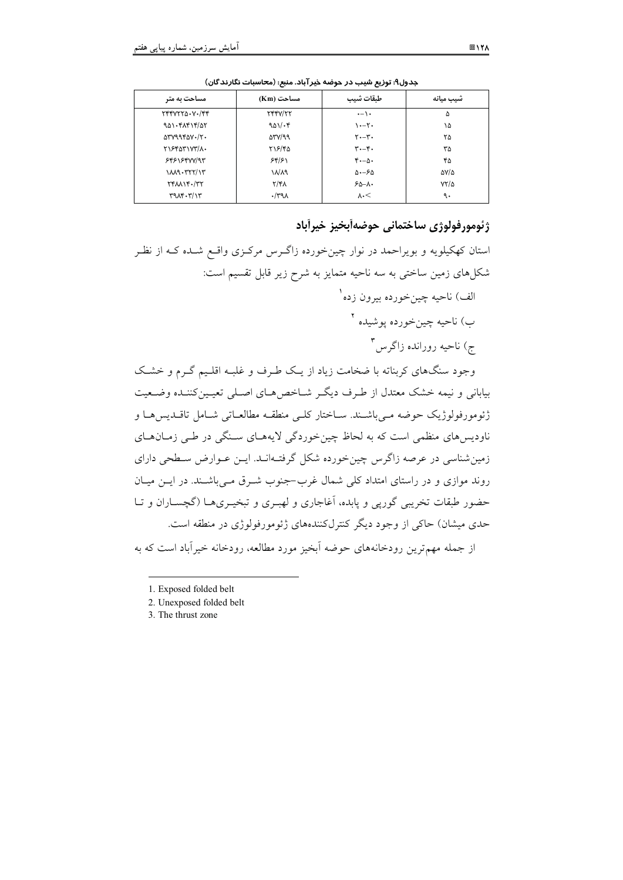| مساحت به متر                                              | مساحت (Km)               | طبقات شيب                            | شيب ميانه   |
|-----------------------------------------------------------|--------------------------|--------------------------------------|-------------|
| $YYYYYYA-YYYY$                                            | <b>TYYY/TY</b>           | $\cdot$ - \ $\cdot$                  | ۵           |
| 901.51515/27                                              | 901.8                    | $\cdots$                             | ١۵          |
| $\Delta V V 998 V \cdot V$                                | $\Delta V/\gamma \gamma$ | $Y - Y -$                            | ۲۵          |
| ٢١۶۴۵٣١٧٣/٨٠                                              | ۲۱۶/۴۵                   | $\mathbf{r} \cdot -\mathbf{r} \cdot$ | ۳۵          |
| <b>۶۴۶۱۶۴۷۷/9۳</b>                                        | 58/51                    | $f - \Delta$ .                       | ۴۵          |
| $1111 - 177777777$                                        | ۱۸/۸۹                    | $\Delta - 5\Delta$                   | AV/A        |
| $Y^*$ $M$ $Y^*$ $Y^*$                                     | $Y/f\lambda$             | $50 - 1.$                            | $YY/\Delta$ |
| $\mathbf{r}^q \mathbf{v}^r \cdot \mathbf{r}^r \mathbf{v}$ | $\cdot$ /۳۹۸             | $\lambda \cdot \leq$                 | ٩.          |

جدول۹: توزیع شیب در حوضه خیرآباد. منبع: (محاسبات نگارندگان)

## ژئومورفولوژي ساختماني حوضهآبخيز خيرآباد

استان کهکیلویه و بویراحمد در نوار چینخورده زاگـرس مرکـزی واقـع شـده کـه از نظـر شکلهای زمین ساختی به سه ناحیه متمایز به شرح زیر قابل تقسیم است:

> الف) ناحيه چينخورده بيرون زده` ب) ناحيه چينخورده يوشيده <sup>۲</sup> ج) ناحیه رورانده زاگرس<sup>۳</sup>

وجود سنگهای کربناته با ضخامت زیاد از یـک طـرف و غلبـه اقلـیم گـرم و خشـک بیابانی و نیمه خشک معتدل از طرف دیگر شـاخص هـای اصـلی تعیـین کننـده وضـعیت ژئومورفولوژیک حوضه مے باشـند. سـاختار کلـی منطقـه مطالعـاتی شـامل تاقـدیس۱مـا و ناودیس های منظمی است که به لحاظ چین خوردگی لایههـای سـنگی در طـی زمـانهـای زمین شناسی در عرصه زاگرس چین خورده شکل گرفتـهانـد. ایــن عــوارض سـطحی دارای روند موازی و در راستای امتداد کلی شمال غرب–جنوب شـرق مـیباشـند. در ایــن میــان حضور طبقات تخریبی گورپی و پابده، آغاجاری و لهبـری و تبخیـریهـا (گچسـاران و تـا حدي ميشان) حاكي از وجود ديگر كنترلكنندههاي ژئومورفولوژي در منطقه است.

از جمله مهم ترین رودخانههای حوضه آبخیز مورد مطالعه، رودخانه خیرآباد است که به

<sup>1.</sup> Exposed folded belt

<sup>2.</sup> Unexposed folded belt

<sup>3.</sup> The thrust zone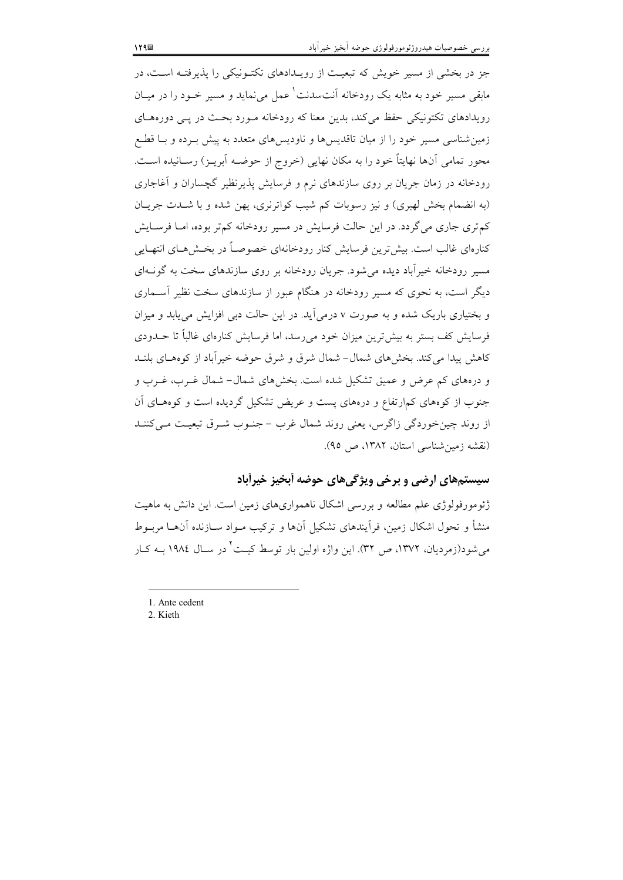جز در بخشی از مسیر خویش که تبعیت از رویـدادهای تکتـونیکی را پذیرفتـه اسـت، در مابقی مسیر خود به مثابه یک رودخانه آنتسدنت همل می نماید و مسیر خـود را در میـان رویدادهای تکتونیکی حفظ میکند، بدین معنا که رودخانه مـورد بحـث در یـبی دورههـای زمین شناسی مسیر خود را از میان تاقدیس ها و ناودیس های متعدد به پیش بـرده و بــا قطــع محور تمامی اَنها نهایتاً خود را به مکان نهایی (خروج از حوضـه اَبریـز) رســانیده اســت. رودخانه در زمان جریان بر روی سازندهای نرم و فرسایش پذیرنظیر گچساران و آغاجاری (به انضمام بخش لهبری) و نیز رسوبات کم شیب کواترنری، پهن شده و با شـدت جریـان کم تری جاری می گردد. در این حالت فرسایش در مسیر رودخانه کم تر بوده، امـا فرسـایش کنارهای غالب است. بیش ترین فرسایش کنار رودخانهای خصوصـاً در بخـش۵هـای انتهـایی مسیر رودخانه خبرآباد دیده می شود. جریان رودخانه بر روی سازندهای سخت به گونـهای دیگر است، به نحوی که مسیر رودخانه در هنگام عبور از سازندهای سخت نظیر آســماری و بختیاری باریک شده و به صورت v درمی آید. در این حالت دبی افزایش می یابد و میزان فرسایش کف بستر به بیش ترین میزان خود می رسد، اما فرسایش کنارهای غالباً تا حــدودی كاهش پیدا می كند. بخشهای شمال- شمال شرق و شرق حوضه خیرآباد از كوههای بلنـد و درههای کم عرض و عمیق تشکیل شده است. بخشهای شمال- شمال غــرب، غــرب و جنوب از کوههای کمارتفاع و درههای پست و عریض تشکیل گردیده است و کوههای آن از روند چین خوردگی زاگرس، یعنی روند شمال غرب – جنـوب شـرق تبعیـت مـی کننـد (نقشه زمین شناسی استان، ۱۳۸۲، ص ۹۵).

#### سیستمهای ارضی و برخی ویژگیهای حوضه آبخیز خیرآباد

ژئومورفولوژی علم مطالعه و بررسی اشکال ناهمواریهای زمین است. این دانش به ماهیت منشأ و تحول اشکال زمین، فرآیندهای تشکیل آنها و ترکیب مـواد سـازنده آنهـا مربـوط می شود(زمردیان، ۱۳۷۲، ص ۳۲). این واژه اولین بار توسط کیـت ٔ در سـال ۱۹۸٤ بــه کـار

<sup>1.</sup> Ante cedent

<sup>2.</sup> Kieth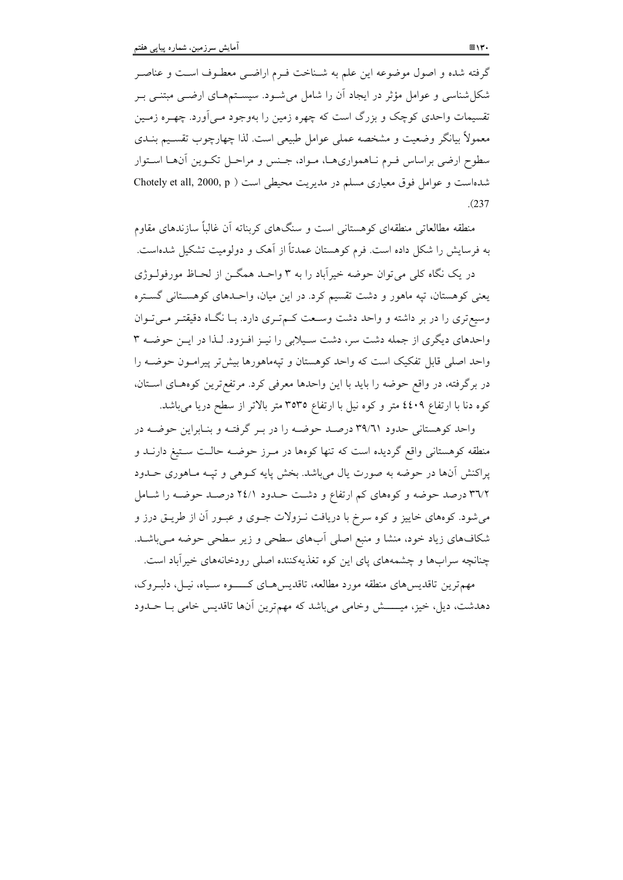گرفته شده و اصول موضوعه این علم به شـناخت فـرم اراضـی معطـوف اسـت و عناصـر شکل شناسی و عوامل مؤثر در ایجاد آن را شامل می شـود. سیســتمهـای ارضــی مبتنــی بـر تقسیمات واحدی کوچک و بزرگ است که چهره زمین را بهوجود مـی]ورد. چهـره زمـین معمولاً بيانگر وضعيت و مشخصه عملي عوامل طبيعي است. لذا چهارچوب تقسـيم بنــدي سطوح ارضی براساس فـرم نـاهمواریهـا، مـواد، جـنس و مراحـل تكـوين أنهـا اسـتوار شدهاست و عوامل فوق معیاری مسلم در مدیریت محیطی است ( Chotely et all, 2000, p  $(237)$ 

منطقه مطالعاتی منطقهای کوهستانی است و سنگهای کربناته آن غالباً سازندهای مقاوم به فرسایش را شکل داده است. فرم کوهستان عمدتاً از آهک و دولومیت تشکیل شدهاست.

در یک نگاه کلی می توان حوضه خیرآباد را به ۳ واحـد همگــن از لحــاظ مورفولــوژي یعنی کوهستان، تپه ماهور و دشت تقسیم کرد. در این میان، واحـدهای کوهسـتانی گسـتره وسیعتری را در بر داشته و واحد دشت وسعت کهتری دارد. با نگاه دقیقتر میتوان واحدهای دیگری از جمله دشت سر، دشت سیلابی را نیـز افـزود. لـذا در ایـن حوضـه ۳ واحد اصلی قابل تفکیک است که واحد کوهستان و تپهماهورها بیش تر پیرامـون حوضـه را در برگرفته، در واقع حوضه را باید با این واحدها معرفی کرد. مرتفع ترین کوههـای اسـتان، کوه دنا با ارتفاع ٤٤٠٩ متر و کوه نيل با ارتفاع ٣٥٣٥ متر بالاتر از سطح دريا مي باشد.

واحد کوهستانی حدود ۳۹/٦١ درصد حوضه را در بـر گرفتـه و بنـابراين حوضـه در منطقه کوهستانی واقع گردیده است که تنها کوهها در مـرز حوضـه حالـت سـتيغ دارنــد و پراکنش آنها در حوضه به صورت یال میباشد. بخش پایه کـوهی و تپـه مـاهوری حــدود ۳۱/۲ درصد حوضه و کوههای کم ارتفاع و دشت حـدود ۲٤/۱ درصـد حوضـه را شـامل میشود. کوههای خاییز و کوه سرخ با دریافت نـزولات جـوی و عبـور آن از طریــق درز و شکافهای زیاد خود، منشا و منبع اصلی آبهای سطحی و زیر سطحی حوضه مـی باشـد. چنانچه سرابها و چشمههای پای این کوه تغذیهکننده اصلی رودخانههای خیرآباد است.

مهمترین تاقدیسهای منطقه مورد مطالعه، تاقدیسهای کسوه سـیاه، نیـل، دلبـروک، دهدشت، دیل، خیز، میـــــش وخامی میباشد که مهم ترین آنها تاقدیس خامی بـا حــدود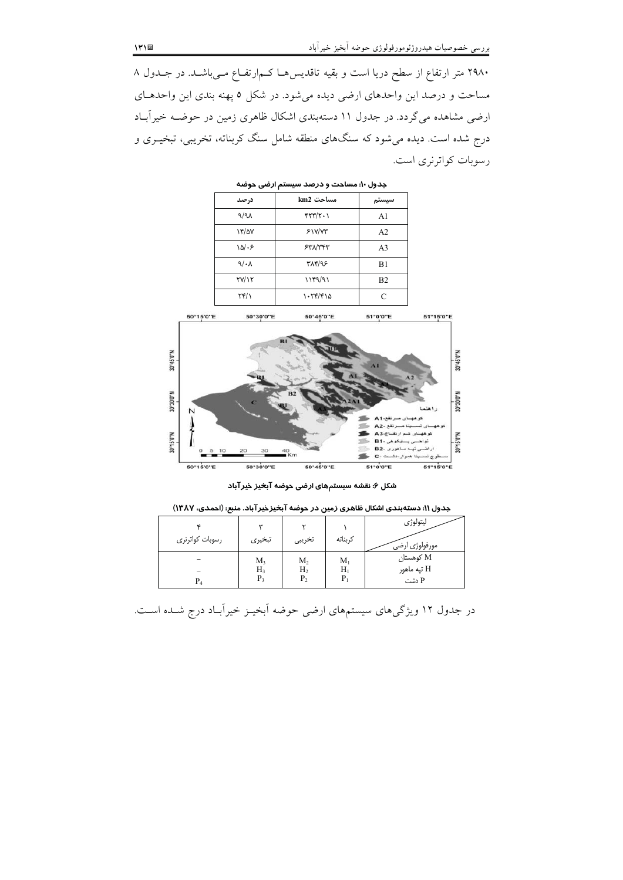۲۹۸۰ متر ارتفاع از سطح دریا است و بقیه تاقدیسهـا کـم|رتفـاع مـیباشـد. در جـدول ۸ مساحت و درصد این واحدهای ارضی دیده میشود. در شکل ۵ پهنه بندی این واحدهـای ارضی مشاهده میگردد. در جدول ۱۱ دستهبندی اشکال ظاهری زمین در حوضـه خیراًبـاد درج شده است. دیده میشود که سنگهای منطقه شامل سنگ کربناته، تخریبی، تبخیـری و رسوبات کواترنری است.

> جدول ۱۰: مساحت و درصد سیستم ارضی حوضه مساحت km2 درصد سيستم  $\sqrt{9}$  $\mathfrak{r}\mathfrak{r}\mathfrak{r}\mathfrak{r}\mathfrak{r}\mathfrak{r}\cdot\mathfrak{r}$  $A1$  $Y/2V$  $51Y/Y$  $A2$  $\lambda \Delta / \cdot 5$  $540000$  $A<sub>3</sub>$  $\mathbb{Q}/\mathbb{Z}$ ۳۸۴/۹۶  $B1$  $\Upsilon V/\Upsilon$  $\setminus \setminus \mathfrak{f} \mathfrak{q} / \mathfrak{q} \setminus$  $B<sub>2</sub>$  $\Upsilon \Upsilon / \Upsilon$  $1.55/510$  $\mathbf{C}$



شکل ۶: نقشه سیستمهای ارضی حوضه آبخیز خیرآباد

| رسوبات كواترنرى | س<br>تبخيرى | تخريبي         | كربناته     | ليتولوژى<br>مورفولوژی ارضی ۖ |
|-----------------|-------------|----------------|-------------|------------------------------|
| $P_4$           | $M_3$       | M <sub>2</sub> | $M_{1}$     | M كوهستان                    |
|                 | Н3          | H <sub>2</sub> | $\rm H_{1}$ | H تيه ماهور                  |
|                 | $P_3$       | P <sub>2</sub> | P,          | P دشت                        |

در جدول ۱۲ ویژگیهای سیستمهای ارضی حوضه آبخیـز خیراًبـاد درج شـده اسـت.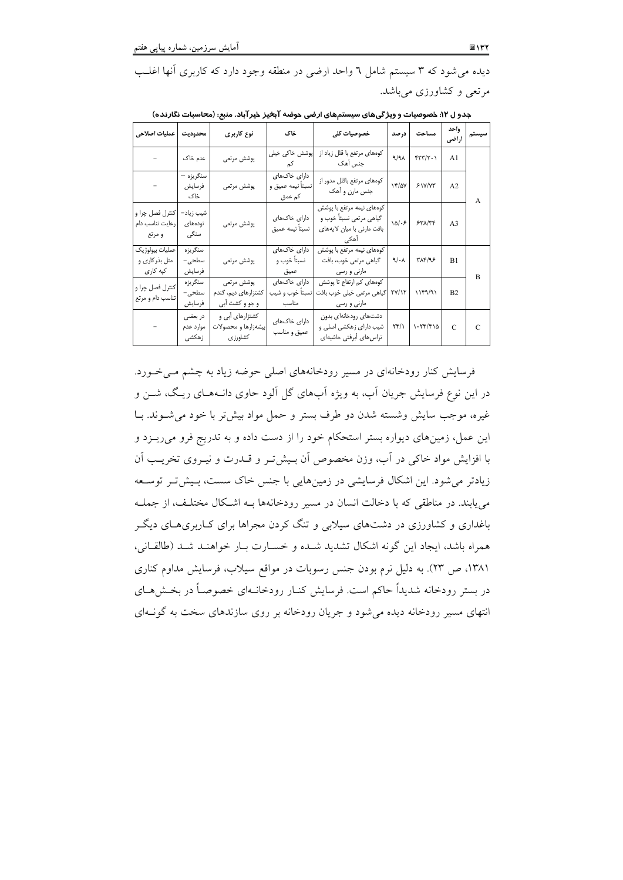دیده می شود که ۳ سیستم شامل ٦ واحد ارضی در منطقه وجود دارد که کاربری آنها اغلب مرتعی و کشاورزی میباشد.

| عمليات اصلاحي                                | محدوديت                       | نوع کاربری                                           | خاک                                          | خصوصیات کلی                                                                                 | درصد                  | مساحت          | واحد<br>أراضي  | سيستم          |
|----------------------------------------------|-------------------------------|------------------------------------------------------|----------------------------------------------|---------------------------------------------------------------------------------------------|-----------------------|----------------|----------------|----------------|
|                                              | عدم خاک                       | پوشش مرتعى                                           | پوشش خاکی خیلی<br>کم                         | کوههای مرتفع با قلل زیاد از<br>جنس آهک                                                      | A/A                   | YYY/Y.         | A1             |                |
|                                              | سنگريزه —<br>فرسايش<br>خاک    | پوشش مرتعى                                           | دارای خاکهای<br>نسبتاً نيمه عميق و<br>کم عمق | كومهاى مرتفع باقلل مدور از<br>جنس مارن و اُهک                                               | $Yf/\Delta Y$         | 51Y/Y          | A2             | $\overline{A}$ |
| کنترل فصل چرا و<br>رعایت تناسب دام<br>و مرتع | شیب زیاد–<br>تودەھاي<br>سنگی  | پوشش مرتعى                                           | دارای خاکهای<br>نسبتأ نيمه عميق              | كوههاى نيمه مرتفع با پوشش<br>گیاهی مرتعی نسبتاً خوب و<br>بافت مارنی با میان لایههای<br>اهكى | $\delta/2$            | $57\lambda/79$ | A <sub>3</sub> |                |
| عمليات بيولوژيک<br>مثل بذرکاری و<br>کپه کاری | سنگريزه<br>سطحى-<br>فرسايش    | پوشش مرتعى                                           | دارای خاکهای<br>نسبتاً خوب و<br>عميق         | کوههای نیمه مرتفع با پوشش<br>گیاهی مرتعی خوب، بافت<br>مارنی و رسی                           | 9/4                   | 414/98         | B1             | B              |
| كنترل فصل چرا و<br>تناسب دام و مرتع          | سنگريزه<br>سطحی–<br>فرسايش    | پوشش مرتعى<br>کشتزارهای دیم، گندم<br>و جو و کشت اّبی | دارای خاکھای<br>نسبتأ خوب و شيب<br>مناسب     | کوههای کم ارتفاع تا پوشش<br>گیاهی مرتعی خیلی خوب بافت<br>مارنی و رسی                        | <b>TV/17</b>          | 1199/91        | B <sub>2</sub> |                |
|                                              | در بعضی<br>موارد عدم<br>زهكشى | کشتزارهای آبی و<br>بيشهزارها و محصولات<br>كشاورزى    | دارای خاکهای<br>عميق و مناسب                 | دشتهای رودخانهای بدون<br>شیب دارای زهکشی اصلی و<br>تراس های أبرفتی حاشیهای                  | $\Upsilon f/\Upsilon$ | 1.74/410       | $\mathcal{C}$  | $\mathcal{C}$  |

جدو ل ۱۲: خصوصیات و ویژ گیهای سیستمهای ارضی حوضه آبخیز خیرآباد. منبع: (محاسبات نگارنده)

فرسایش کنار رودخانهای در مسیر رودخانههای اصلی حوضه زیاد به چشم مـی خـورد. در این نوع فرسایش جریان آب، به ویژه آبهای گل آلود حاوی دانـههـای ریـگ، شــز و غیره، موجب سایش وشسته شدن دو طرف بستر و حمل مواد بیش تر با خود می شـوند. بـا این عمل، زمینهای دیواره بستر استحکام خود را از دست داده و به تدریج فرو میریــزد و با افزایش مواد خاکی در آب، وزن مخصوص آن بـیش5تـر و قــدرت و نیــروی تخریــب آن زیادتر می شود. این اشکال فرسایشی در زمینهایی با جنس خاک سست، بـیش تـر توسـعه می پابند. در مناطقی که با دخالت انسان در مسیر رودخانهها بـه اشکال مختلف، از جملـه باغداری و کشاورزی در دشتهای سپلابی و تنگ کردن مجراها برای کباربریهبای دیگ همراه باشد، ايجاد اين گونه اشكال تشديد شـده و خسـارت بـار خواهنـد شـد (طالقـاني، ۱۳۸۱، ص ۲۳). به دلیل نرم بودن جنس رسوبات در مواقع سیلاب، فرسایش مداوم کناری در بستر رودخانه شدیداً حاکم است. فرسایش کنـار رودخانـهای خصوصـاً در بخـشهــای انتهای مسیر رودخانه دیده می شود و جریان رودخانه بر روی سازندهای سخت به گونـهای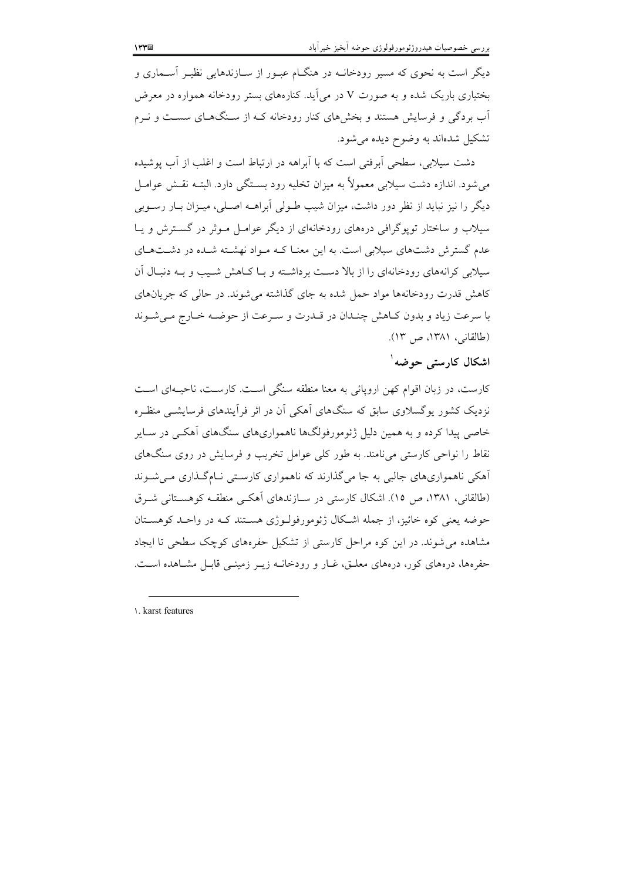دیگه است به نحوی که مسیر رودخانــه در هنگــام عبــور از ســازندهایی نظیــر آســماری و بختیاری باریک شده و به صورت V در می اَید. کنارههای بستر رودخانه همواره در معرض آب بردگی و فرسایش هستند و بخشهای کنار رودخانه کـه از سـنگهـای سسـت و نـرم تشکیل شدهاند به وضوح دیده می شود.

دشت سیلابی، سطحی اَبرفتی است که با اَبراهه در ارتباط است و اغلب از اَب پوشیده می شود. اندازه دشت سیلایی معمولاً به میزان تخلیه رود بستگی دارد. البتـه نقـش عوامـل دیگر را نیز نباید از نظر دور داشت، میزان شیب طـولی اَبراهــه اصـلی، میــزان بــار رســوبی سیلاب و ساختار تویوگرافی درههای رودخانهای از دیگر عوامل مـوثر در گسـترش و یـا عدم گسترش دشتهای سیلابی است. به این معنـا کـه مـواد نهشـته شـده در دشـتهـای سیلابی کرانههای رودخانهای را از بالا دست برداشته و بـا کـاهش شـیب و بـه دنبـال آن کاهش قدرت رودخانهها مواد حمل شده به جای گذاشته می شوند. در حالی که جریانهای با سرعت زياد و بدون كـاهش چنـدان در قـدرت و سـرعت از حوضـه خـارج مـىشـوند (طالقانی، ۱۳۸۱، ص ۱۳).

#### اشکال کارستی حوضه<sup>۱</sup>

کارست، در زبان اقوام کهن اروپائی به معنا منطقه سنگی است. کارست، ناحیـهای اسـت نزدیک کشور یوگسلاوی سابق که سنگهای آهکی آن در اثر فرآیندهای فرسایشبی منظره خاصی پیدا کرده و به همین دلیل ژئومورفولگها ناهمواریهای سنگهای آهکـی در سـایر نقاط را نواحی کارستی می نامند. به طور کلی عوامل تخریب و فرسایش در روی سنگهای آهکی ناهمواریهای جالبی به جا می گذارند که ناهمواری کارستی نـامگـذاری مـی شـوند (طالقانی، ۱۳۸۱، ص ۱۵). اشکال کارستی در سـازندهای آهکـی منطقـه کوهسـتانی شـرق حوضه یعنی کوه خائیز، از جمله اشکال ژئومورفولـوژی هســتند کــه در واحــد کوهســتان مشاهده می شوند. در این کوه مراحل کارستی از تشکیل حفرههای کوچک سطحی تا ایجاد حفرهها، درههای کور، درههای معلـق، غــار و رودخانــه زیــر زمینــی قابــل مشــاهده اســت.

\. karst features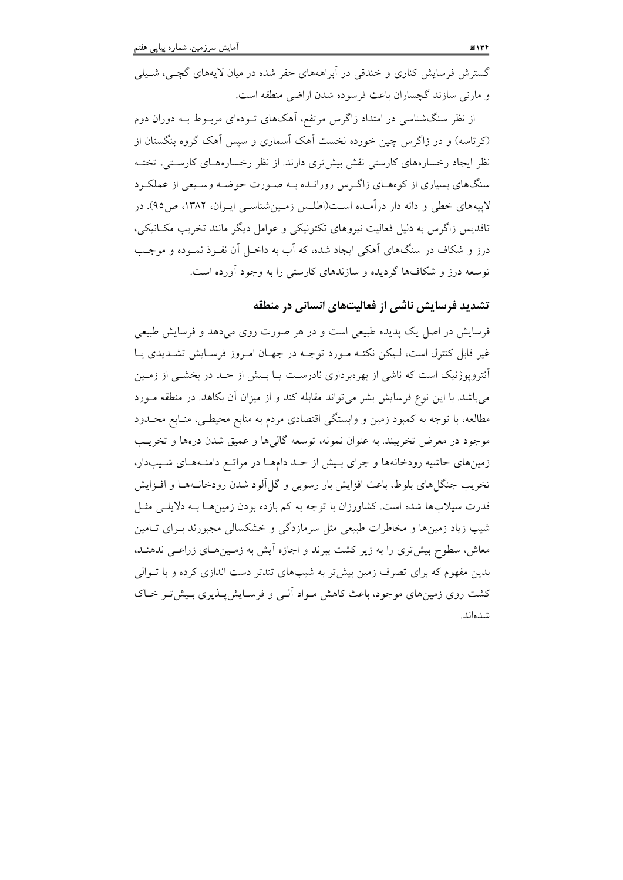گسترش فرسایش کناری و خندقی در آبراهههای حفر شده در میان لایههای گچـی، شـیلی و مارنی سازند گچساران باعث فرسوده شدن اراضی منطقه است.

از نظر سنگشناسی در امتداد زاگرس مرتفع، آهکهای تـودهای مربـوط بـه دوران دوم (کرتاسه) و در زاگرس چین خورده نخست آهک آسماری و سپس آهک گروه بنگستان از نظر ایجاد رخسارههای کارستی نقش بیش تری دارند. از نظر رخسارههـای کارسـتی، تختـه سنگهای بسیاری از کوههـای زاگـرس رورانـده بـه صـورت حوضـه وسـبعی از عملکـرد لاییههای خطی و دانه دار درآمـده اسـت(اطلـس زمـین شناسـی ایـران، ۱۳۸۲، ص۹۵). در تاقدیس زاگرس به دلیل فعالیت نیروهای تکتونیکی و عوامل دیگر مانند تخریب مکسانیکی، درز و شکاف در سنگهای آهکی ایجاد شده، که آب به داخـل آن نفـوذ نمـوده و موجـب توسعه درز و شکافها گردیده و سازندهای کارستی را به وجود آورده است.

# تشدید فرسایش ناشی از فعالیتهای انسانی در منطقه

فرسایش در اصل یک پدیده طبیعی است و در هر صورت روی میدهد و فرسایش طبیعی غیر قابل کنترل است، لـیکن نکتـه مـورد توجـه در جهـان امـروز فرسـایش تشــدیدی یــا آنترویوژنیک است که ناشی از بهرهبرداری نادرست یــا بـیش از حــد در بخشــی از زمــین می باشد. با این نوع فرسایش بشر می تواند مقابله کند و از میزان آن بکاهد. در منطقه مـورد مطالعه، با توجه به کمبود زمین و وابستگی اقتصادی مردم به منابع محیطـی، منـابع محـدود موجود در معرض تخريبند. به عنوان نمونه، توسعه گالي ها و عميق شدن دروها و تخريب زمینهای حاشیه رودخانهها و چرای بسش از حـد دامهـا در مراتـع دامنـههـای شـيبدار، تخریب جنگل های بلوط، باعث افزایش بار رسوبی و گل آلود شدن رودخانـههـا و افــزایش قدرت سیلابها شده است. کشاورزان با توجه به کم بازده بودن زمینها بـه دلایلـی مثـل شیب زیاد زمینها و مخاطرات طبیعی مثل سرمازدگی و خشکسالی مجبورند بـرای تـامین معاش، سطوح بیش تری را به زیر کشت ببرند و اجازه آیش به زمـینهـای زراعـی ندهنـد، بدین مفهوم که برای تصرف زمین بیش تر به شیبهای تندتر دست اندازی کرده و با تـوالی کشت روی زمینهای موجود، باعث کاهش مـواد آلـی و فرسـایش پــذیری بـیش تـر خــاک شدهاند.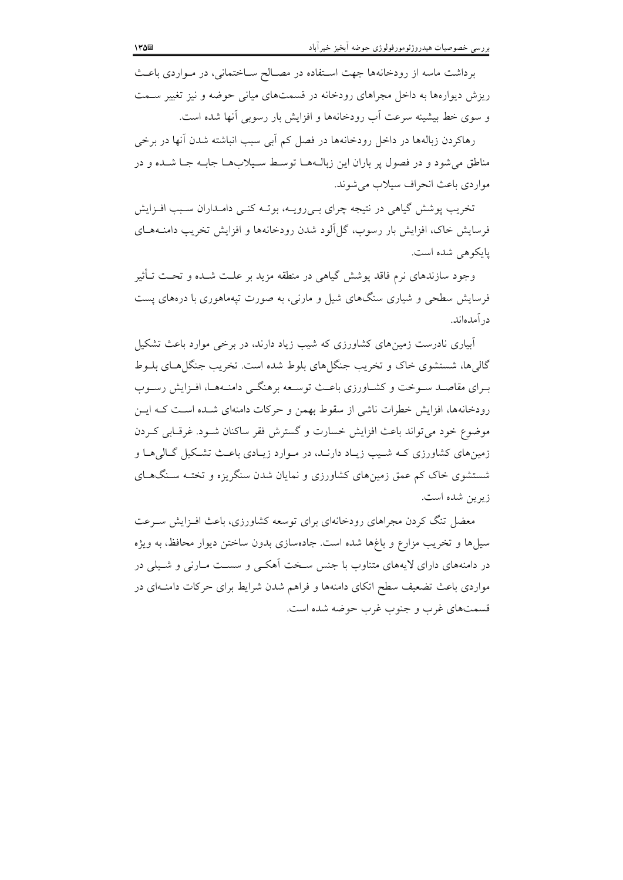برداشت ماسه از رودخانهها جهت استفاده در مصـالح سـاختمانى، در مـواردى باعـث ریزش دیوارهها به داخل مجراهای رودخانه در قسمتهای میانی حوضه و نیز تغییر سـمت و سوی خط بیشینه سرعت اَب رودخانهها و افزایش بار رسوبی اَنها شده است.

رهاکردن زبالهها در داخل رودخانهها در فصل کم آبی سبب انباشته شدن آنها در برخی مناطق می شود و در فصول پر باران این زبال1ها توسط سیلابها جابـه جـا شـده و در مواردي باعث انحراف سيلاب مي شوند.

تخریب پوشش گیاهی در نتیجه چرای بسیرویــه، بوتــه کنــی دامــداران ســبب افــزایش فرسایش خاک، افزایش بار رسوب، گل آلود شدن رودخانهها و افزایش تخریب دامنـههـای يايكوهي شده است.

وجود سازندهای نرم فاقد یوشش گیاهی در منطقه مزید بر علـت شــده و تحــت تـأثیر فرسایش سطحی و شیاری سنگهای شیل و مارنبی، به صورت تیهماهوری با درههای پست در آمدهاند.

آبیاری نادرست زمینهای کشاورزی که شیب زیاد دارند، در برخی موارد باعث تشکیل گالی ها، شستشوی خاک و تخریب جنگا های بلوط شده است. تخریب جنگل هـای بلـوط بیرای مقاصید سیوخت و کشیاورزی باعث توسیعه برهنگی دامنیهها، افیزایش رسیوب رودخانهها، افزایش خطرات ناشی از سقوط بهمن و حرکات دامنهای شـده اسـت کـه ایـن موضوع خود مي تواند باعث افزايش خسارت و گسترش فقر ساكنان شـود. غرقـابي كـردن زمینهای کشاورزی کـه شـیب زیـاد دارنـد، در مـوارد زیـادی باعـث تشـکیل گـالی هـا و شستشوی خاک کم عمق زمینهای کشاورزی و نمایان شدن سنگریزه و تختـه سـنگهــای زيرين شده است.

معضل تنگ کردن مجراهای رودخانهای برای توسعه کشاورزی، باعث افـزایش سـرعت سیلها و تخریب مزارع و باغها شده است. جادهسازی بدون ساختن دیوار محافظ، به ویژه در دامنههای دارای لایههای متناوب با جنس سـخت أهکــی و سســت مــارنـی و شــیلـی در مواردی باعث تضعیف سطح اتکای دامنهها و فراهم شدن شرایط برای حرکات دامنـهای در قسمتهای غرب و جنوب غرب حوضه شده است.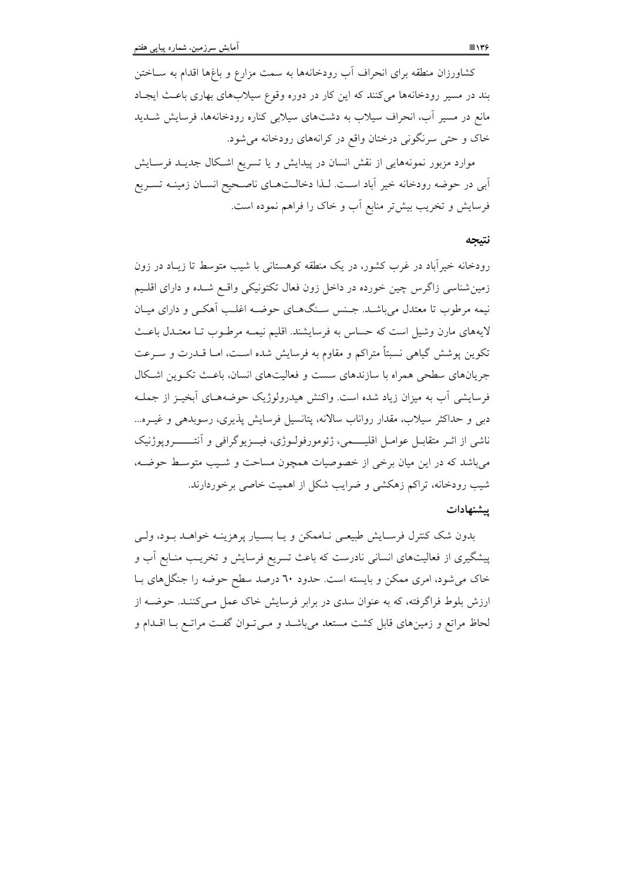کشاورزان منطقه برای انحراف آب رودخانهها به سمت مزارع و باغها اقدام به ســاختن بند در مسیر رودخانهها می کنند که این کار در دوره وقوع سیلابهای بهاری باعث ایجاد مانع در مسیر آب، انحراف سیلاب به دشتهای سیلابی کناره رودخانهها، فرسایش شـدید خاک و حتی سرنگونی درختان واقع در کرانههای رودخانه می شود.

موارد مزبور نمونههایی از نقش انسان در پیدایش و یا تسریع اشکال جدیـد فرسـایش ابی در حوضه رودخانه خیر آباد است. لـذا دخالـتهـای ناصـحیح انسـان زمینــه تسـریع فرسایش و تخریب بیش تر منابع آب و خاک را فراهم نموده است.

#### نتبجه

رودخانه خیرآباد در غرب کشور، در یک منطقه کوهستانی با شیب متوسط تا زیـاد در زون زمین شناسی زاگرس چین خورده در داخل زون فعال تکتونیکی واقع شـده و دارای اقلـیم نیمه مرطوب تا معتدل میباشـد. جـنس سـنگـهـای حوضـه اغلـب آهکـی و دارای میـان لايههاي مارن وشيل است كه حساس به فرسايشند. اقليم نيمـه مرطـوب تـا معتـدل باعـث تکوین پوشش گیاهی نسبتاً متراکم و مقاوم به فرسایش شده اسـت، امـا قــدرت و سـرعت جریانهای سطحی همراه با سازندهای سست و فعالیتهای انسان، باعث تکـوین اشـکال فرسایشی آب به میزان زیاد شده است. واکنش هیدرولوژیک حوضههـای آبخیـز از جملـه دبی و حداکثر سیلاب، مقدار رواناب سالانه، پتانسیل فرسایش پذیری، رسوبدهی و غیــره... ناشی از اثــر متقابــل عوامــل اقلیـــــمی، ژئومورفولــوژی، فیـــزیوگرافی و اَنتــــــــروپوژنیک می باشد که در این میان برخی از خصوصیات همچون مساحت و شـیب متوسـط حوضـه، شیب رودخانه، تراکم زهکشی و ضرایب شکل از اهمیت خاصی برخوردارند. سشنهادات

بدون شک کنترل فرسایش طبیعی نـاممکن و یـا بسـیار پرهزینـه خواهـد بـود، ولـی پیشگیری از فعالیتهای انسانی نادرست که باعث تسریع فرسایش و تخریب منـابع آب و خاک می شود، امری ممکن و بایسته است. حدود ٦٠ درصد سطح حوضه را جنگل های بـا ارزش بلوط فراگرفته، که به عنوان سدی در برابر فرسایش خاک عمل مـی کننـد. حوضـه از لحاظ مراتع و زمینهای قابل کشت مستعد می باشـد و مـی تـوان گفـت مراتـع بـا اقــدام و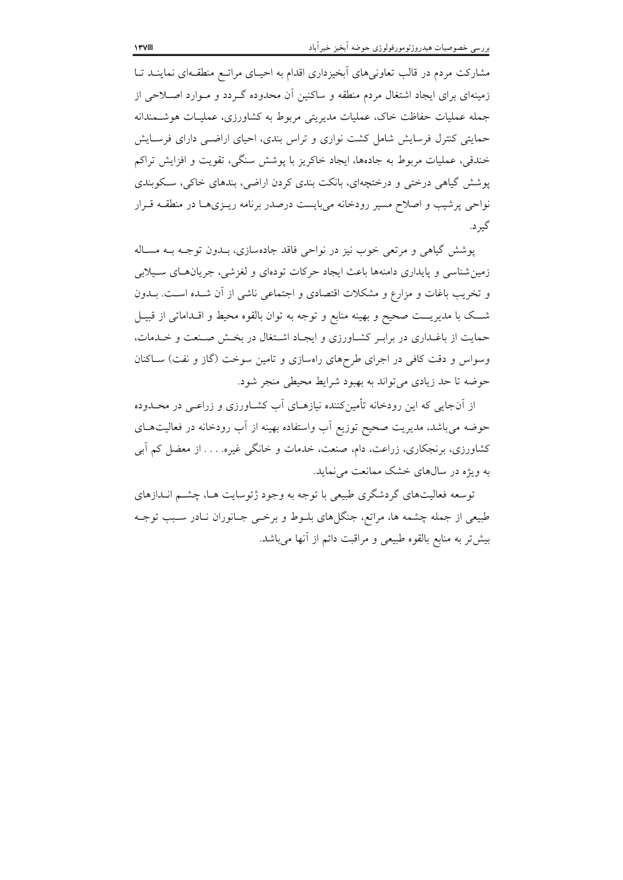مشارکت مردم در قالب تعاونه های آبخیزداری اقدام به احسای مراتبع منطقیهای نماینید تبا زمینهای برای ایجاد اشتغال مردم منطقه و ساکنین آن مجدوده گ دد و میوارد اصلاحی از حمله عملیات حفاظت خاک، عملیات مدیریتر مربوط به کشاورزی، عملیـات هوشــمندانه حمایتی کنترل فرسایش شامل کشت نواری و تراس بندی، احیای اراضی دارای فرسیایش .<br>خندقی، عملیات مربوط به جادهها، ابجاد خاکریز با بوشش سنگر، تقویت و افزایش تراکم به شش گیاهی درختی و درختجهای، بانکت بندی کردن اراضی، بندهای خاکی، سبکه بندی نهاجی برشیب و اصلاح مسد رودخانه مربایست درصدر برنامه رب ی هیا در منطقیه قبرار گ<br> د.

بوشش گیاهه و مرتعه خوب نیز در نواحی فاقد حادوسازی، بیدون توجیه بیه مساله : مین شناسه و مایداری دامنهها باعث ابجاد جرکات تودهای و لغزشه ، جریانههای سیپلایی و تخریب باغات و مزارع و مشکلات اقتصادی و احتماعه بناشیر از آن شیده است. بیدون . .<br>شب یک با مدر سبت صحیح و بهینه منابع و توجه به توان بالقوه محیط و اقبداماتر از قبیبا حمایت از پاغداری در برایی کشیاورزی و ابجباد اشتغال در بخش صنعت و خیدمات، وسواس و دقت کافی در اجرای طرحهای راوسازی و تامین سوخت (گاز و نفت) ساکنان ۔<br>جوضه تا جد زیادی مرتواند به بهیود شرایط محیطی منحر شود.

از آن جایی که این رودخانه تأمین کننده نیازهبای آب کشباورزی و زراعبی در محیدوده حوضه مرباشد، مدیریت صحیح توزیع آب واستفاده بهینه از آب رودخانه در فعالیتهیای د.<br>د اورزی، یر نحکاری، زراعت، دام، صنعت، خدمات و خانگر غیره. . . . از معضل کم آیر. به و بژه در سالهای خشک ممانعت مرنماید.

نوسعه فعالیتهای گردشگری طبیعی با توجه به وجود ژئوسایت هیا، چشبه انبدازهای طبیعی از جمله جشمه ها، مراتع، جنگا های پلیوط و برخس جبانوران نبادر سبب توجبه ۔<br>پیش تر به منابع بالقوه طبیعے و مراقبت دائیہ از آنھا مرباشد.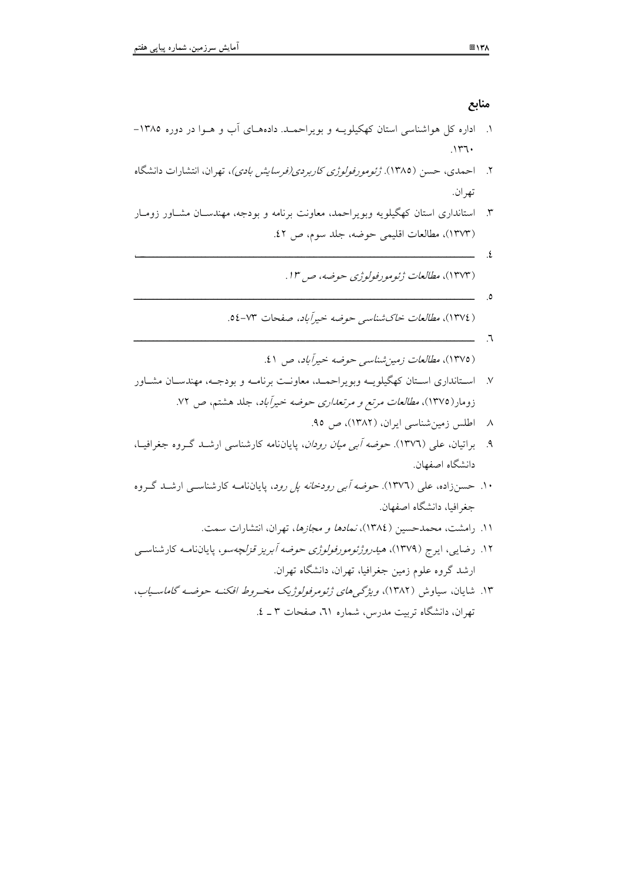**R%**  x7hg- \$--4K?-E- K? -KA#+4%-9-K+4I;H-Q - ('4? C- 71/- 
-Y 
-QH\*-8 %-^+ )% -<4=444><-87hg)-MR#-A# & QH\*- K\$-\$ K -Q K (H-94%-9 %-\$ A#+4%\$-9+4IH-Q 7 r&q-I-9G4# AIW-Y = @-87i7) r 7q-9G4#-<4=444><-Y = @-87i7)KKKKKKKKKKKKKKKKKKKKKKKKKKKKKKKKKKKKKKKKKKKKKKKKKKKKKKKKKKKKKKKKKKKKKKKKKKKKKKKKKKKKK g grxi7 Y O\V %:-9G4#- ('d :-Y = @-87ir) 1 rq- %:-9G4#- ('M-Y = @-87ig)-\$ K Q K (H-9K4%-\$-9K %--K
\$ -KA#+4%\$-9K+4IH-Q K K i i&q-X?-I- %:-9G4#-\*-\$a\*-Y = @-87ig) \$2gq-87h&)-Q+- ('M-~I h - -K-- \$KU-K' (' -9 Q + Q\$-Q -%-9G4#-87i1) ID-Q \*% 2 Q H\V- - \$KU-K' -K (' -9K Q + F-\$-CF-9 :\$-%-9G4#-87i1) ID- MR# / Q H\V- 
- -A -Y 
-QH\*- ? "-\$- ? A -87hr)-MR#AO-- -K (' -9K Q + 4 9T=LW-L+% 9G4#-<4=444><\$?-87i2)z+-+ G & QH\*- 
-QH\*- -Mn4ID- \$U-' --E K U -9KG4#-9K(;l\$Kj-J+<4=44><- ?U\_+\$-87h&)c\$ Q + ' 7 -r K 7-Y O\V-1- A'---%\*- 
-QH\*